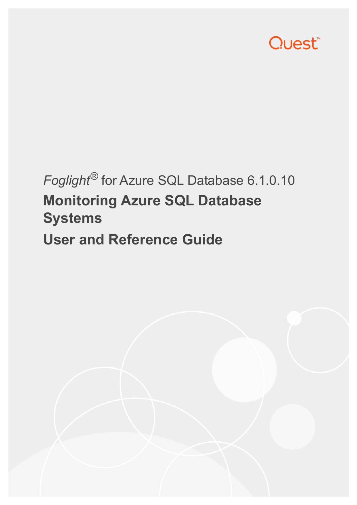

# *Foglight®* for Azure SQL Database 6.1.0.10 **Monitoring Azure SQL Database Systems**

**User and Reference Guide**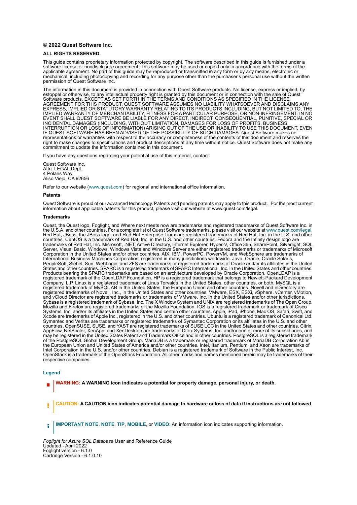#### **© 2022 Quest Software Inc.**

#### **ALL RIGHTS RESERVED.**

This guide contains proprietary information protected by copyright. The software described in this guide is furnished under a software license or nondisclosure agreement. This software may be used or copied only in accordance with the terms of the applicable agreement. No part of this guide may be reproduced or transmitted in any form or by any means, electronic or mechanical, including photocopying and recording for any purpose other than the purchaser's personal use without the written permission of Quest Software Inc.

The information in this document is provided in connection with Quest Software products. No license, express or implied, by estoppel or otherwise, to any intellectual property right is granted by this document or in connection with the sale of Quest<br>Software products. EXCEPT AS SET FORTH IN THE TERMS AND CONDITIONS AS SPECIFIED IN THE LICENSE<br>A EXPRESS, IMPLIED OR STATUTORY WARRANTY RELATING TO ITS PRODUCTS INCLUDING, BUT NOT LIMITED TO, THE<br>IMPLIED WARRANTY OF MERCHANTABILITY, FITNESS FOR A PARTICULAR PURPOSE, OR NON-INFRINGEMENT. IN NO<br>EVENT SHALL QUEST SOFTWAR INCIDENTAL DAMAGES (INCLUDING, WITHOUT LIMITATION, DAMAGES FOR LOSS OF PROFITS, BUSINESS<br>INTERRUPTION OR LOSS OF INFORMATION) ARISING OUT OF THE USE OR INABILITY TO USE THIS DOCUMENT, EVEN IF QUEST SOFTWARE HAS BEEN ADVISED OF THE POSSIBILITY OF SUCH DAMAGES. Quest Software makes no representations or warranties with respect to the accuracy or completeness of the contents of this document and reserves the right to make changes to specifications and product descriptions at any time without notice. Quest Software does not make any commitment to update the information contained in this document.

If you have any questions regarding your potential use of this material, contact:

Quest Software Inc. Attn: LEGAL Dept. 4 Polaris Way Aliso Viejo, CA 92656

Refer to our website [\(www.quest.com](http://www.quest.com)) for regional and international office information.

#### **Patents**

Quest Software is proud of our advanced technology. Patents and pending patents may apply to this product. For the most current information about applicable patents for this product, please visit our website at www.quest.com/legal.

#### **Trademarks**

Quest, the Quest logo, Foglight, and Where next meets now are trademarks and registered trademarks of Quest Software Inc. in the U.S.A. and other countries. For a complete list of Quest Software trademarks, please visit our website at [www.quest.com/legal](http://www.quest.com/legal). Red Hat, JBoss, the JBoss logo, and Red Hat Enterprise Linux are registered trademarks of Red Hat, Inc. in the U.S. and other countries. CentOS is a trademark of Red Hat, Inc. in the U.S. and other countries. Fedora and the Infinity design logo are trademarks of Red Hat, Inc. Microsoft, .NET, Active Directory, Internet Explorer, Hyper-V, Office 365, SharePoint, Silverlight, SQL<br>Server, Visual Basic, Windows, Windows Vista and Windows Server are either registered trad Corporation in the United States and/or other countries. AIX, IBM, PowerPC, PowerVM, and WebSphere are trademarks of International Business Machines Corporation, registered in many jurisdictions worldwide. Java, Oracle, Oracle Solaris, PeopleSoft, Siebel, Sun, WebLogic, and ZFS are trademarks or registered trademarks of Oracle and/or its affiliates in the United<br>States and other countries. SPARC is a registered trademark of SPARC International, Inc. in t Products bearing the SPARC trademarks are based on an architecture developed by Oracle Corporation. OpenLDAP is a<br>registered trademark of the OpenLDAP Foundation. HP is a registered trademark that belongs to Hewlett-Packar Company, L.P. Linux is a registered trademark of Linus Torvalds in the United States, other countries, or both. MySQL is a registered trademark of MySQL AB in the United States, the European Union and other countries. Novell and eDirectory are registered trademarks of Novell, Inc., in the United States and other countries. VMware, ESX, ESXi, vSphere, vCenter, vMotion, and vCloud Director are registered trademarks or trademarks of VMware, Inc. in the United States and/or other jurisdictions. Sybase is a registered trademark of Sybase, Inc. The X Window System and UNIX are registered trademarks of The Open Group. Mozilla and Firefox are registered trademarks of the Mozilla Foundation. IOS is a registered trademark or trademark of Cisco<br>Systems, Inc. and/or its affiliates in the United States and certain other countries. Apple, iPad Xcode are trademarks of Apple Inc., registered in the U.S. and other countries. Ubuntu is a registered trademark of Canonical Ltd. Symantec and Veritas are trademarks or registered trademarks of Symantec Corporation or its affiliates in the U.S. and other countries. OpenSUSE, SUSE, and YAST are registered trademarks of SUSE LCC in the United States and other countries. Citrix, AppFlow, NetScaler, XenApp, and XenDesktop are trademarks of Citrix Systems, Inc. and/or one or more of its subsidiaries, and<br>may be registered in the United States Patent and Trademark Office and in other countries. Postg the European Union and United States of America and/or other countries. Intel, Itanium, Pentium, and Xeon are trademarks of Intel Corporation in the U.S. and/or other countries. Debian is a registered trademark of Software in the Public Interest, Inc. OpenStack is a trademark of the OpenStack Foundation. All other marks and names mentioned herein may be trademarks of their respective companies.

#### **Legend**

**WARNING: A WARNING icon indicates a potential for property damage, personal injury, or death.**

**CAUTION: A CAUTION icon indicates potential damage to hardware or loss of data if instructions are not followed.** Ţ

**IMPORTANT NOTE**, **NOTE**, **TIP**, **MOBILE**, or **VIDEO:** An information icon indicates supporting information.÷

*Foglight for Azure SQL Database* User and Reference Guide Updated - April 2022 Foglight version - 6.1.0 Cartridge Version - 6.1.0.10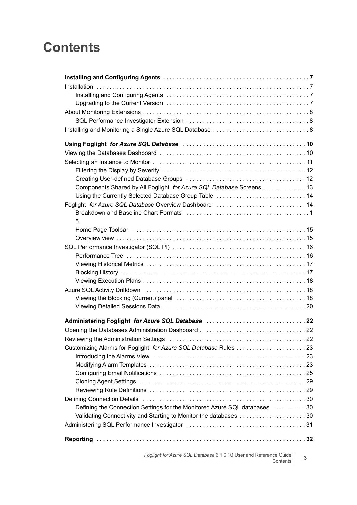## **Contents**

| Components Shared by All Foglight for Azure SQL Database Screens 13                                                                                                                                                           |
|-------------------------------------------------------------------------------------------------------------------------------------------------------------------------------------------------------------------------------|
| Using the Currently Selected Database Group Table  14                                                                                                                                                                         |
| Foglight for Azure SQL Database Overview Dashboard 14                                                                                                                                                                         |
| Breakdown and Baseline Chart Formats (all contained according contained and Treakdown and Baseline Chart Formats (All Chart Chart Street All Chart Street All Chart Street All Chart Street All Chart Street All Chart Street |
| 5                                                                                                                                                                                                                             |
|                                                                                                                                                                                                                               |
|                                                                                                                                                                                                                               |
|                                                                                                                                                                                                                               |
|                                                                                                                                                                                                                               |
|                                                                                                                                                                                                                               |
|                                                                                                                                                                                                                               |
|                                                                                                                                                                                                                               |
|                                                                                                                                                                                                                               |
|                                                                                                                                                                                                                               |
|                                                                                                                                                                                                                               |
| Administering Foglight for Azure SQL Database  22                                                                                                                                                                             |
|                                                                                                                                                                                                                               |
| Reviewing the Administration Settings (and the content of the content of the Administration Settings (and the c                                                                                                               |
|                                                                                                                                                                                                                               |
|                                                                                                                                                                                                                               |
|                                                                                                                                                                                                                               |
|                                                                                                                                                                                                                               |
|                                                                                                                                                                                                                               |
|                                                                                                                                                                                                                               |
|                                                                                                                                                                                                                               |
| Defining the Connection Settings for the Monitored Azure SQL databases 30                                                                                                                                                     |
| Validating Connectivity and Starting to Monitor the databases 30                                                                                                                                                              |
|                                                                                                                                                                                                                               |
|                                                                                                                                                                                                                               |

*Foglight for Azure SQL Database* 6.1.0.10 User and Reference Guide nce Guide | 3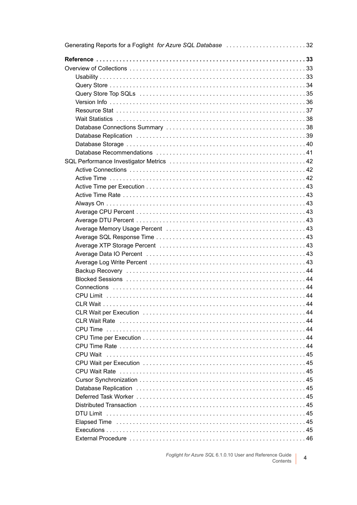| Generating Reports for a Foglight for Azure SQL Database 32 |  |
|-------------------------------------------------------------|--|
|                                                             |  |
|                                                             |  |
|                                                             |  |
|                                                             |  |
|                                                             |  |
|                                                             |  |
|                                                             |  |
|                                                             |  |
|                                                             |  |
|                                                             |  |
|                                                             |  |
|                                                             |  |
|                                                             |  |
|                                                             |  |
|                                                             |  |
|                                                             |  |
|                                                             |  |
|                                                             |  |
|                                                             |  |
|                                                             |  |
|                                                             |  |
|                                                             |  |
|                                                             |  |
|                                                             |  |
|                                                             |  |
|                                                             |  |
|                                                             |  |
|                                                             |  |
|                                                             |  |
|                                                             |  |
|                                                             |  |
|                                                             |  |
|                                                             |  |
|                                                             |  |
|                                                             |  |
| CPU Wait                                                    |  |
|                                                             |  |
|                                                             |  |
|                                                             |  |
|                                                             |  |
|                                                             |  |
|                                                             |  |
|                                                             |  |
|                                                             |  |
|                                                             |  |
|                                                             |  |
|                                                             |  |

Foglight for Azure SQL 6.1.0.10 User and Reference Guide<br>Contents  $\overline{4}$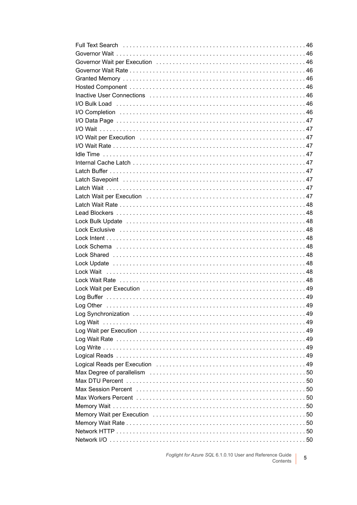| Full Text Search (and the contract of the contract of the contract of the contract of the Text Search          |  |
|----------------------------------------------------------------------------------------------------------------|--|
|                                                                                                                |  |
| Governor Wait per Execution (and the content of the content of the content of the content of the content of th |  |
|                                                                                                                |  |
|                                                                                                                |  |
|                                                                                                                |  |
| Inactive User Connections (and all and all and all and all and all and all and all and all and all and all and |  |
|                                                                                                                |  |
|                                                                                                                |  |
|                                                                                                                |  |
|                                                                                                                |  |
|                                                                                                                |  |
|                                                                                                                |  |
|                                                                                                                |  |
|                                                                                                                |  |
|                                                                                                                |  |
|                                                                                                                |  |
|                                                                                                                |  |
|                                                                                                                |  |
|                                                                                                                |  |
|                                                                                                                |  |
|                                                                                                                |  |
|                                                                                                                |  |
|                                                                                                                |  |
|                                                                                                                |  |
|                                                                                                                |  |
|                                                                                                                |  |
|                                                                                                                |  |
|                                                                                                                |  |
|                                                                                                                |  |
|                                                                                                                |  |
|                                                                                                                |  |
|                                                                                                                |  |
|                                                                                                                |  |
| Log Wait                                                                                                       |  |
|                                                                                                                |  |
|                                                                                                                |  |
|                                                                                                                |  |
|                                                                                                                |  |
| Logical Reads per Execution (and the content of the content of the content of 49)                              |  |
|                                                                                                                |  |
|                                                                                                                |  |
|                                                                                                                |  |
|                                                                                                                |  |
|                                                                                                                |  |
|                                                                                                                |  |
|                                                                                                                |  |
|                                                                                                                |  |
|                                                                                                                |  |

Foglight for Azure SQL 6.1.0.10 User and Reference Guide  $\overline{5}$ Contents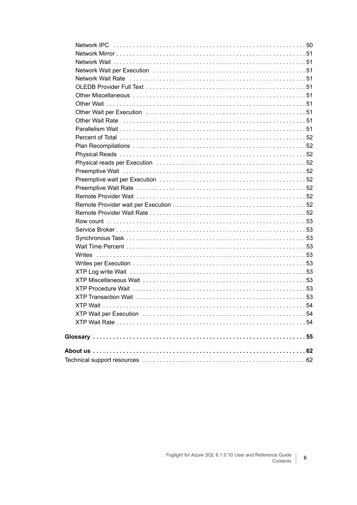| Other Wait Rate National Account of the University Chern Mail Rate of the University Other Wait Rate |  |
|------------------------------------------------------------------------------------------------------|--|
|                                                                                                      |  |
|                                                                                                      |  |
|                                                                                                      |  |
|                                                                                                      |  |
|                                                                                                      |  |
|                                                                                                      |  |
|                                                                                                      |  |
|                                                                                                      |  |
|                                                                                                      |  |
|                                                                                                      |  |
|                                                                                                      |  |
|                                                                                                      |  |
|                                                                                                      |  |
|                                                                                                      |  |
|                                                                                                      |  |
|                                                                                                      |  |
|                                                                                                      |  |
|                                                                                                      |  |
|                                                                                                      |  |
|                                                                                                      |  |
|                                                                                                      |  |
|                                                                                                      |  |
|                                                                                                      |  |
|                                                                                                      |  |
|                                                                                                      |  |
|                                                                                                      |  |
|                                                                                                      |  |
|                                                                                                      |  |

 $6\phantom{a}$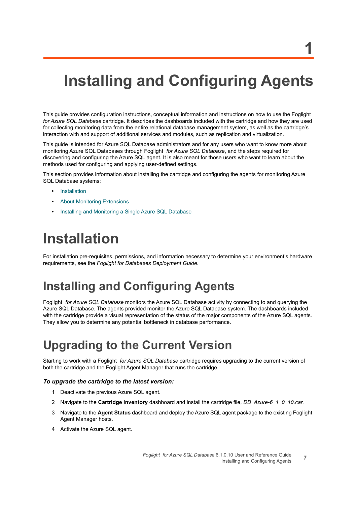# <span id="page-6-0"></span>**Installing and Configuring Agents**

This guide provides configuration instructions, conceptual information and instructions on how to use the Foglight *for Azure SQL Database* cartridge. It describes the dashboards included with the cartridge and how they are used for collecting monitoring data from the entire relational database management system, as well as the cartridge's interaction with and support of additional services and modules, such as replication and virtualization.

This guide is intended for Azure SQL Database administrators and for any users who want to know more about monitoring Azure SQL Databases through Foglight *for Azure SQL Database*, and the steps required for discovering and configuring the Azure SQL agent. It is also meant for those users who want to learn about the methods used for configuring and applying user-defined settings.

This section provides information about installing the cartridge and configuring the agents for monitoring Azure SQL Database systems:

- **•** [Installation](#page-6-1)
- **•** [About Monitoring Extensions](#page-7-0)
- **•** [Installing and Monitoring a Single Azure SQL Database](#page-7-2)

## <span id="page-6-1"></span>**Installation**

For installation pre-requisites, permissions, and information necessary to determine your environment's hardware requirements, see the *Foglight for Databases Deployment Guide*.

#### <span id="page-6-2"></span>**Installing and Configuring Agents**

Foglight *for Azure SQL Database* monitors the Azure SQL Database activity by connecting to and querying the Azure SQL Database. The agents provided monitor the Azure SQL Database system. The dashboards included with the cartridge provide a visual representation of the status of the major components of the Azure SQL agents. They allow you to determine any potential bottleneck in database performance.

#### <span id="page-6-3"></span>**Upgrading to the Current Version**

Starting to work with a Foglight *for Azure SQL Database* cartridge requires upgrading to the current version of both the cartridge and the Foglight Agent Manager that runs the cartridge.

#### *To upgrade the cartridge to the latest version:*

- 1 Deactivate the previous Azure SQL agent.
- 2 Navigate to the **Cartridge Inventory** dashboard and install the cartridge file, *DB\_Azure-6\_1\_0\_10.car.*
- 3 Navigate to the **Agent Status** dashboard and deploy the Azure SQL agent package to the existing Foglight Agent Manager hosts.
- 4 Activate the Azure SQL agent.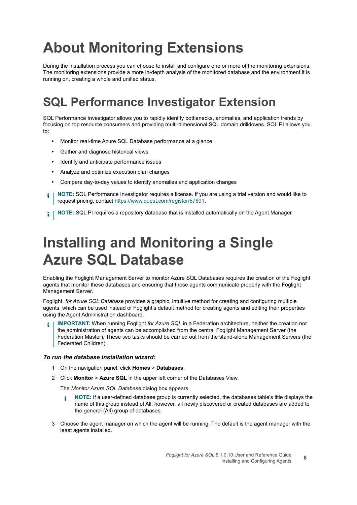# <span id="page-7-0"></span>**About Monitoring Extensions**

During the installation process you can choose to install and configure one or more of the monitoring extensions. The monitoring extensions provide a more in-depth analysis of the monitored database and the environment it is running on, creating a whole and unified status.

## <span id="page-7-1"></span>**SQL Performance Investigator Extension**

SQL Performance Investigator allows you to rapidly identify bottlenecks, anomalies, and application trends by focusing on top resource consumers and providing multi-dimensional SQL domain drilldowns. SQL PI allows you to:

- **•** Monitor real-time Azure SQL Database performance at a glance
- **•** Gather and diagnose historical views
- **•** Identify and anticipate performance issues
- **•** Analyze and optimize execution plan changes
- **•** Compare day-to-day values to identify anomalies and application changes
- **NOTE:** SQL Performance Investigator requires a license. If you are using a trial version and would like to ÷ request pricing, contact [https://www.quest.com/register/57891](https://www.quest.com/registert/57891).
- **NOTE:** SQL PI requires a repository database that is installed automatically on the Agent Manager. i I

# <span id="page-7-2"></span>**Installing and Monitoring a Single Azure SQL Database**

Enabling the Foglight Management Server to monitor Azure SQL Databases requires the creation of the Foglight agents that monitor these databases and ensuring that these agents communicate properly with the Foglight Management Server.

Foglight *for Azure SQL Database* provides a graphic, intuitive method for creating and configuring multiple agents, which can be used instead of Foglight's default method for creating agents and editing their properties using the Agent Administration dashboard.

**IMPORTANT:** When running Foglight *for Azure SQL* in a Federation architecture, neither the creation nor the administration of agents can be accomplished from the central Foglight Management Server (the Federation Master). These two tasks should be carried out from the stand-alone Management Servers (the Federated Children).

#### *To run the database installation wizard:*

- 1 On the navigation panel, click **Homes** > **Databases**.
- 2 Click **Monitor** > **Azure SQL** in the upper left corner of the Databases View.

The *Monitor Azure SQL Database* dialog box appears.

- **NOTE:** If a user-defined database group is currently selected, the databases table's title displays the ÷. name of this group instead of All; however, all newly discovered or created databases are added to the general (All) group of databases.
- 3 Choose the agent manager on which the agent will be running. The default is the agent manager with the least agents installed.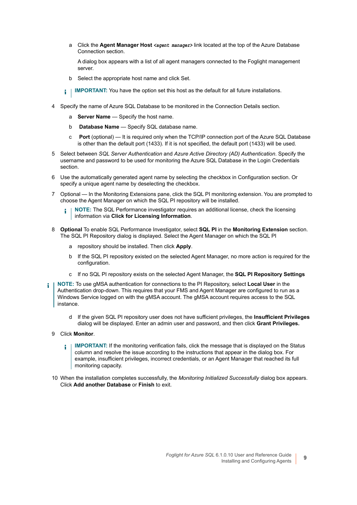a Click the **Agent Manager Host** *<agent manager>* link located at the top of the Azure Database Connection section.

A dialog box appears with a list of all agent managers connected to the Foglight management server.

- b Select the appropriate host name and click Set.
- **IMPORTANT:** You have the option set this host as the default for all future installations. i I
- 4 Specify the name of Azure SQL Database to be monitored in the Connection Details section.
	- a **Server Name** Specify the host name.
	- b **Database Name** Specify SQL database name.
	- c **Port** (optional) It is required only when the TCP/IP connection port of the Azure SQL Database is other than the default port (1433). If it is not specified, the default port (1433) will be used.
- 5 Select between *SQL Server Authentication* and *Azure Active Directory (AD) Authentication*. Specify the username and password to be used for monitoring the Azure SQL Database in the Login Credentials section.
- 6 Use the automatically generated agent name by selecting the checkbox in Configuration section. Or specify a unique agent name by deselecting the checkbox.
- 7 Optional In the Monitoring Extensions pane, click the SQL PI monitoring extension. You are prompted to choose the Agent Manager on which the SQL PI repository will be installed.
	- **NOTE:** The SQL Performance investigator requires an additional license, check the licensing ÷ information via **Click for Licensing Information**.
- 8 **Optional** To enable SQL Performance Investigator, select **SQL PI** in the **Monitoring Extension** section. The SQL PI Repository dialog is displayed. Select the Agent Manager on which the SQL PI
	- a repository should be installed. Then click **Apply**.
	- b If the SQL PI repository existed on the selected Agent Manager, no more action is required for the configuration.
	- c If no SQL PI repository exists on the selected Agent Manager, the **SQL PI Repository Settings**
- **NOTE:** To use gMSA authentication for connections to the PI Repository, select **Local User** in the ÷. Authentication drop-down. This requires that your FMS and Agent Manager are configured to run as a Windows Service logged on with the gMSA account. The gMSA account requires access to the SQL instance.
	- d If the given SQL PI repository user does not have sufficient privileges, the **Insufficient Privileges** dialog will be displayed. Enter an admin user and password, and then click **Grant Privileges.**
	- 9 Click **Monitor**.
		- **IMPORTANT:** If the monitoring verification fails, click the message that is displayed on the Status f. column and resolve the issue according to the instructions that appear in the dialog box. For example, insufficient privileges, incorrect credentials, or an Agent Manager that reached its full monitoring capacity.
	- 10 When the installation completes successfully, the *Monitoring Initialized Successfully* dialog box appears. Click **Add another Database** or **Finish** to exit.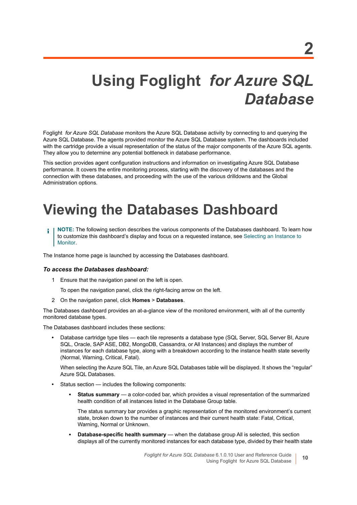# <span id="page-9-0"></span>**Using Foglight** *for Azure SQL Database*

Foglight *for Azure SQL Database* monitors the Azure SQL Database activity by connecting to and querying the Azure SQL Database. The agents provided monitor the Azure SQL Database system. The dashboards included with the cartridge provide a visual representation of the status of the major components of the Azure SQL agents. They allow you to determine any potential bottleneck in database performance.

This section provides agent configuration instructions and information on investigating Azure SQL Database performance. It covers the entire monitoring process, starting with the discovery of the databases and the connection with these databases, and proceeding with the use of the various drilldowns and the Global Administration options.

# <span id="page-9-1"></span>**Viewing the Databases Dashboard**

**NOTE:** The following section describes the various components of the Databases dashboard. To learn how ÷ to customize this dashboard's display and focus on a requested instance, see [Selecting an Instance to](#page-10-0)  [Monitor.](#page-10-0)

The Instance home page is launched by accessing the Databases dashboard.

#### *To access the Databases dashboard:*

1 Ensure that the navigation panel on the left is open.

To open the navigation panel, click the right-facing arrow on the left.

2 On the navigation panel, click **Homes** > **Databases**.

The Databases dashboard provides an at-a-glance view of the monitored environment, with all of the currently monitored database types.

The Databases dashboard includes these sections:

**•** Database cartridge type tiles — each tile represents a database type (SQL Server, SQL Server BI, Azure SQL, Oracle, SAP ASE, DB2, MongoDB, Cassandra, or All Instances) and displays the number of instances for each database type, along with a breakdown according to the instance health state severity (Normal, Warning, Critical, Fatal).

When selecting the Azure SQL Tile, an Azure SQL Databases table will be displayed. It shows the "regular" Azure SQL Databases.

- **•** Status section includes the following components:
	- **▪ Status summary** a color-coded bar, which provides a visual representation of the summarized health condition of all instances listed in the Database Group table.

The status summary bar provides a graphic representation of the monitored environment's current state, broken down to the number of instances and their current health state: Fatal, Critical, Warning, Normal or Unknown.

**▪ Database-specific health summary** — when the database group All is selected, this section displays all of the currently monitored instances for each database type, divided by their health state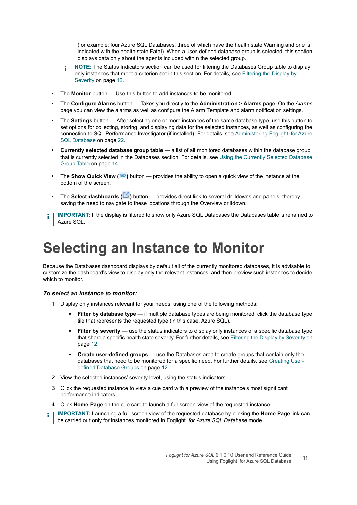(for example: four Azure SQL Databases, three of which have the health state Warning and one is indicated with the health state Fatal). When a user-defined database group is selected, this section displays data only about the agents included within the selected group.

- **NOTE:** The Status Indicators section can be used for filtering the Databases Group table to display i l only instances that meet a criterion set in this section. For details, see [Filtering the Display by](#page-11-0)  [Severity on page 12.](#page-11-0)
- **•** The **Monitor** button Use this button to add instances to be monitored.
- **•** The **Configure Alarms** button Takes you directly to the **Administration** > **Alarms** page. On the *Alarms* page you can view the alarms as well as configure the Alarm Template and alarm notification settings.
- **•** The **Settings** button After selecting one or more instances of the same database type, use this button to set options for collecting, storing, and displaying data for the selected instances, as well as configuring the connection to SQL Performance Investigator (if installed). For details, see [Administering Foglight for Azure](#page-21-3)  [SQL Database on page 22.](#page-21-3)
- **Currently selected database group table**  a list of all monitored databases within the database group that is currently selected in the Databases section. For details, see [Using the Currently Selected Database](#page-13-0)  [Group Table on page 14](#page-13-0).
- **The Show Quick View (<sup>36</sup>)** button provides the ability to open a quick view of the instance at the bottom of the screen.
- **••** The **Select dashboards** ( $\blacksquare$ ) button provides direct link to several drilldowns and panels, thereby saving the need to navigate to these locations through the Overview drilldown.
- **IMPORTANT:** If the display is filtered to show only Azure SQL Databases the Databases table is renamed to f Azure SQL.

# <span id="page-10-0"></span>**Selecting an Instance to Monitor**

Because the Databases dashboard displays by default all of the currently monitored databases, it is advisable to customize the dashboard's view to display only the relevant instances, and then preview such instances to decide which to monitor.

#### *To select an instance to monitor:*

- 1 Display only instances relevant for your needs, using one of the following methods:
	- **Filter by database type** if multiple database types are being monitored, click the database type tile that represents the requested type (in this case, Azure SQL).
	- **▪ Filter by severity** use the status indicators to display only instances of a specific database type that share a specific health state severity. For further details, see [Filtering the Display by Severity on](#page-11-0)  [page 12](#page-11-0).
	- **▪ Create user-defined groups** use the Databases area to create groups that contain only the databases that need to be monitored for a specific need. For further details, see [Creating User](#page-11-1)[defined Database Groups on page 12](#page-11-1).
- 2 View the selected instances' severity level, using the status indicators.
- 3 Click the requested instance to view a cue card with a preview of the instance's most significant performance indicators.
- 4 Click **Home Page** on the cue card to launch a full-screen view of the requested instance.
- **IMPORTANT:** Launching a full-screen view of the requested database by clicking the **Home Page** link can i be carried out only for instances monitored in Foglight *for Azure SQL Database* mode.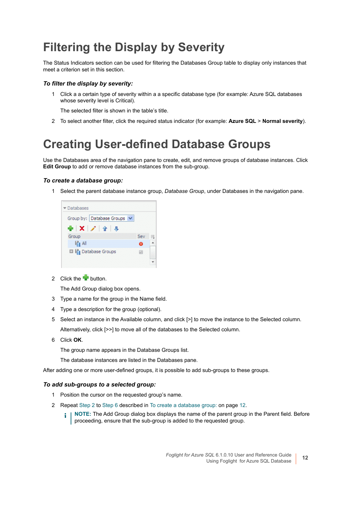### <span id="page-11-0"></span>**Filtering the Display by Severity**

The Status Indicators section can be used for filtering the Databases Group table to display only instances that meet a criterion set in this section.

#### *To filter the display by severity:*

1 Click a a certain type of severity within a a specific database type (for example: Azure SQL databases whose severity level is Critical).

The selected filter is shown in the table's title.

2 To select another filter, click the required status indicator (for example: **Azure SQL** > **Normal severity**).

#### <span id="page-11-1"></span>**Creating User-defined Database Groups**

Use the Databases area of the navigation pane to create, edit, and remove groups of database instances. Click **Edit Group** to add or remove database instances from the sub-group.

#### <span id="page-11-4"></span>*To create a database group:*

1 Select the parent database instance group, *Database Group*, under Databases in the navigation pane.



<span id="page-11-2"></span>2 Click the **button**.

The Add Group dialog box opens.

- 3 Type a name for the group in the Name field.
- 4 Type a description for the group (optional).
- 5 Select an instance in the Available column, and click [>] to move the instance to the Selected column. Alternatively, click [>>] to move all of the databases to the Selected column.
- <span id="page-11-3"></span>6 Click **OK**.

The group name appears in the Database Groups list.

The database instances are listed in the Databases pane.

After adding one or more user-defined groups, it is possible to add sub-groups to these groups.

#### *To add sub-groups to a selected group:*

- 1 Position the cursor on the requested group's name.
- 2 Repeat [Step 2](#page-11-2) to [Step 6](#page-11-3) described in [To create a database group: on page 12.](#page-11-4)
	- **NOTE:** The Add Group dialog box displays the name of the parent group in the Parent field. Before ÷ proceeding, ensure that the sub-group is added to the requested group.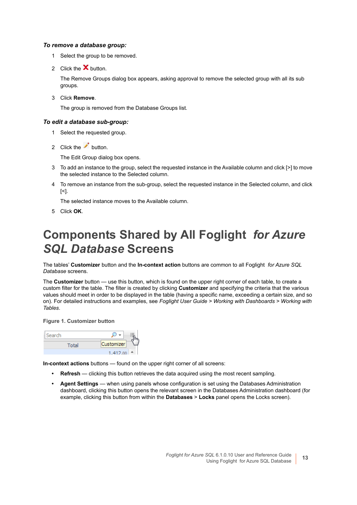#### *To remove a database group:*

- 1 Select the group to be removed.
- 2 Click the  $\mathsf{\Sigma}$  button.

The Remove Groups dialog box appears, asking approval to remove the selected group with all its sub groups.

3 Click **Remove**.

The group is removed from the Database Groups list.

#### *To edit a database sub-group:*

- 1 Select the requested group.
- 2 Click the button.

The Edit Group dialog box opens.

- 3 To add an instance to the group, select the requested instance in the Available column and click [>] to move the selected instance to the Selected column.
- 4 To remove an instance from the sub-group, select the requested instance in the Selected column, and click [<].

The selected instance moves to the Available column.

5 Click **OK**.

#### <span id="page-12-0"></span>**Components Shared by All Foglight** *for Azure SQL Database* **Screens**

The tables' **Customizer** button and the **In-context action** buttons are common to all Foglight *for Azure SQL Database* screens.

The **Customizer** button — use this button, which is found on the upper right corner of each table, to create a custom filter for the table. The filter is created by clicking **Customizer** and specifying the criteria that the various values should meet in order to be displayed in the table (having a specific name, exceeding a certain size, and so on). For detailed instructions and examples, see *Foglight User Guide > Working with Dashboards > Working with Tables*.

#### **Figure 1. Customizer button**



**In-context actions** buttons — found on the upper right corner of all screens:

- **Refresh** clicking this button retrieves the data acquired using the most recent sampling.
- **Agent Settings** when using panels whose configuration is set using the Databases Administration dashboard, clicking this button opens the relevant screen in the Databases Administration dashboard (for example, clicking this button from within the **Databases** > **Locks** panel opens the Locks screen).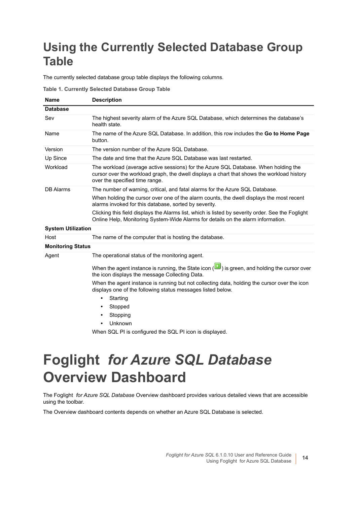## <span id="page-13-0"></span>**Using the Currently Selected Database Group Table**

The currently selected database group table displays the following columns.

|  |  | Table 1. Currently Selected Database Group Table |  |
|--|--|--------------------------------------------------|--|
|  |  |                                                  |  |

| <b>Name</b>               | <b>Description</b>                                                                                                                                                                                                  |  |  |  |  |  |  |
|---------------------------|---------------------------------------------------------------------------------------------------------------------------------------------------------------------------------------------------------------------|--|--|--|--|--|--|
| <b>Database</b>           |                                                                                                                                                                                                                     |  |  |  |  |  |  |
| Sev                       | The highest severity alarm of the Azure SQL Database, which determines the database's<br>health state.                                                                                                              |  |  |  |  |  |  |
| Name                      | The name of the Azure SQL Database. In addition, this row includes the Go to Home Page<br>button.                                                                                                                   |  |  |  |  |  |  |
| Version                   | The version number of the Azure SQL Database.                                                                                                                                                                       |  |  |  |  |  |  |
| Up Since                  | The date and time that the Azure SQL Database was last restarted.                                                                                                                                                   |  |  |  |  |  |  |
| Workload                  | The workload (average active sessions) for the Azure SQL Database. When holding the<br>cursor over the workload graph, the dwell displays a chart that shows the workload history<br>over the specified time range. |  |  |  |  |  |  |
| <b>DB</b> Alarms          | The number of warning, critical, and fatal alarms for the Azure SQL Database.                                                                                                                                       |  |  |  |  |  |  |
|                           | When holding the cursor over one of the alarm counts, the dwell displays the most recent<br>alarms invoked for this database, sorted by severity.                                                                   |  |  |  |  |  |  |
|                           | Clicking this field displays the Alarms list, which is listed by severity order. See the Foglight<br>Online Help, Monitoring System-Wide Alarms for details on the alarm information.                               |  |  |  |  |  |  |
| <b>System Utilization</b> |                                                                                                                                                                                                                     |  |  |  |  |  |  |
| Host                      | The name of the computer that is hosting the database.                                                                                                                                                              |  |  |  |  |  |  |
| <b>Monitoring Status</b>  |                                                                                                                                                                                                                     |  |  |  |  |  |  |
| Agent                     | The operational status of the monitoring agent.                                                                                                                                                                     |  |  |  |  |  |  |
|                           | When the agent instance is running, the State icon $(\blacksquare)$ is green, and holding the cursor over<br>the icon displays the message Collecting Data.                                                         |  |  |  |  |  |  |
|                           | When the agent instance is running but not collecting data, holding the cursor over the icon<br>displays one of the following status messages listed below.                                                         |  |  |  |  |  |  |
|                           | Starting<br>$\bullet$                                                                                                                                                                                               |  |  |  |  |  |  |
|                           | Stopped                                                                                                                                                                                                             |  |  |  |  |  |  |
|                           | Stopping                                                                                                                                                                                                            |  |  |  |  |  |  |
|                           | Unknown<br>$\bullet$                                                                                                                                                                                                |  |  |  |  |  |  |
|                           | When SQL PI is configured the SQL PI icon is displayed.                                                                                                                                                             |  |  |  |  |  |  |
|                           |                                                                                                                                                                                                                     |  |  |  |  |  |  |

# <span id="page-13-1"></span>**Foglight** *for Azure SQL Database* **Overview Dashboard**

The Foglight *for Azure SQL Database* Overview dashboard provides various detailed views that are accessible using the toolbar.

The Overview dashboard contents depends on whether an Azure SQL Database is selected.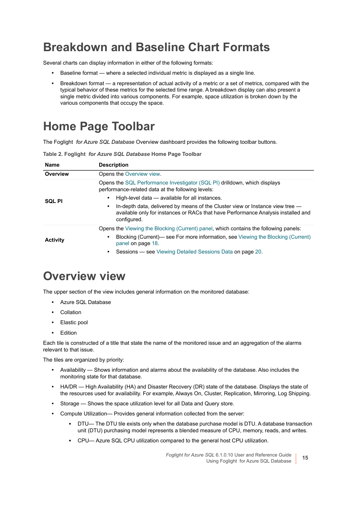#### <span id="page-14-0"></span>**Breakdown and Baseline Chart Formats**

Several charts can display information in either of the following formats:

- **•** Baseline format where a selected individual metric is displayed as a single line.
- **•** Breakdown format a representation of actual activity of a metric or a set of metrics, compared with the typical behavior of these metrics for the selected time range. A breakdown display can also present a single metric divided into various components. For example, space utilization is broken down by the various components that occupy the space.

### <span id="page-14-1"></span>**Home Page Toolbar**

The Foglight *for Azure SQL Database* Overview dashboard provides the following toolbar buttons.

|  | Table 2. Foglight for Azure SQL Database Home Page Toolbar |
|--|------------------------------------------------------------|
|--|------------------------------------------------------------|

| <b>Name</b>     | <b>Description</b>                                                                                                                                                                |  |  |  |  |  |  |  |
|-----------------|-----------------------------------------------------------------------------------------------------------------------------------------------------------------------------------|--|--|--|--|--|--|--|
| Overview        | Opens the Overview view.                                                                                                                                                          |  |  |  |  |  |  |  |
|                 | Opens the SQL Performance Investigator (SQL PI) drilldown, which displays<br>performance-related data at the following levels:                                                    |  |  |  |  |  |  |  |
| <b>SQL PI</b>   | High-level data — available for all instances.                                                                                                                                    |  |  |  |  |  |  |  |
|                 | In-depth data, delivered by means of the Cluster view or Instance view tree —<br>available only for instances or RACs that have Performance Analysis installed and<br>configured. |  |  |  |  |  |  |  |
|                 | Opens the Viewing the Blocking (Current) panel, which contains the following panels:                                                                                              |  |  |  |  |  |  |  |
| <b>Activity</b> | Blocking (Current)— see For more information, see Viewing the Blocking (Current)<br>panel on page 18.                                                                             |  |  |  |  |  |  |  |
|                 | Sessions - see Viewing Detailed Sessions Data on page 20.                                                                                                                         |  |  |  |  |  |  |  |

#### <span id="page-14-2"></span>**Overview view**

The upper section of the view includes general information on the monitored database:

- **•** Azure SQL Database
- **•** Collation
- **•** Elastic pool
- **•** Edition

Each tile is constructed of a title that state the name of the monitored issue and an aggregation of the alarms relevant to that issue.

The tiles are organized by priority:

- **•** Availability Shows information and alarms about the availability of the database. Also includes the monitoring state for that database.
- **•** HA/DR High Availability (HA) and Disaster Recovery (DR) state of the database. Displays the state of the resources used for availability. For example, Always On, Cluster, Replication, Mirroring, Log Shipping.
- **•** Storage Shows the space utilization level for all Data and Query store.
- **•** Compute Utilization— Provides general information collected from the server:
	- **▪** DTU— The DTU tile exists only when the database purchase model is DTU. A database transaction unit (DTU) purchasing model represents a blended measure of CPU, memory, reads, and writes.
	- **▪** CPU— Azure SQL CPU utilization compared to the general host CPU utilization.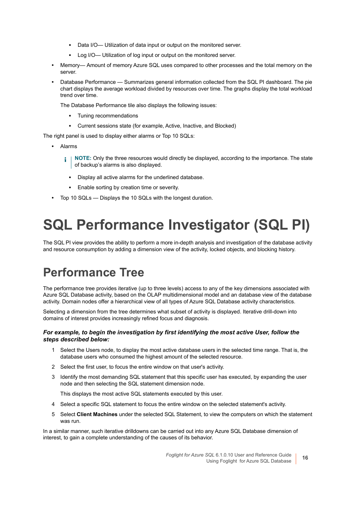- **▪** Data I/O— Utilization of data input or output on the monitored server.
- Log I/O— Utilization of log input or output on the monitored server.
- **•** Memory— Amount of memory Azure SQL uses compared to other processes and the total memory on the server.
- **•** Database Performance Summarizes general information collected from the SQL PI dashboard. The pie chart displays the average workload divided by resources over time. The graphs display the total workload trend over time.

The Database Performance tile also displays the following issues:

- **▪** Tuning recommendations
- **▪** Current sessions state (for example, Active, Inactive, and Blocked)

The right panel is used to display either alarms or Top 10 SQLs:

- **•** Alarms
	- **NOTE:** Only the three resources would directly be displayed, according to the importance. The state f. of backup's alarms is also displayed.
		- **▪** Display all active alarms for the underlined database.
		- **▪** Enable sorting by creation time or severity.
- **•** Top 10 SQLs Displays the 10 SQLs with the longest duration.

# <span id="page-15-0"></span>**SQL Performance Investigator (SQL PI)**

The SQL PI view provides the ability to perform a more in-depth analysis and investigation of the database activity and resource consumption by adding a dimension view of the activity, locked objects, and blocking history.

### <span id="page-15-1"></span>**Performance Tree**

The performance tree provides iterative (up to three levels) access to any of the key dimensions associated with Azure SQL Database activity, based on the OLAP multidimensional model and an database view of the database activity. Domain nodes offer a hierarchical view of all types of Azure SQL Database activity characteristics.

Selecting a dimension from the tree determines what subset of activity is displayed. Iterative drill-down into domains of interest provides increasingly refined focus and diagnosis.

#### *For example, to begin the investigation by first identifying the most active User, follow the steps described below:*

- 1 Select the Users node, to display the most active database users in the selected time range. That is, the database users who consumed the highest amount of the selected resource.
- 2 Select the first user, to focus the entire window on that user's activity.
- 3 Identify the most demanding SQL statement that this specific user has executed, by expanding the user node and then selecting the SQL statement dimension node.

This displays the most active SQL statements executed by this user.

- 4 Select a specific SQL statement to focus the entire window on the selected statement's activity.
- 5 Select **Client Machines** under the selected SQL Statement, to view the computers on which the statement was run.

In a similar manner, such iterative drilldowns can be carried out into any Azure SQL Database dimension of interest, to gain a complete understanding of the causes of its behavior.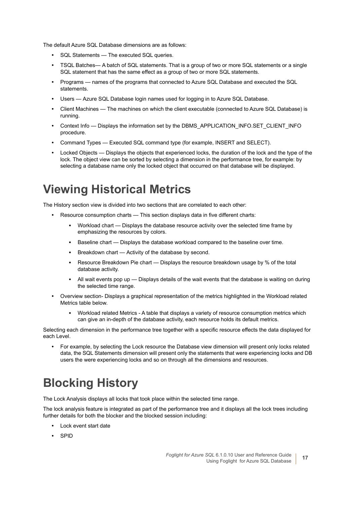The default Azure SQL Database dimensions are as follows:

- **•** SQL Statements The executed SQL queries.
- **•** TSQL Batches— A batch of SQL statements. That is a group of two or more SQL statements or a single SQL statement that has the same effect as a group of two or more SQL statements.
- **•** Programs names of the programs that connected to Azure SQL Database and executed the SQL statements.
- **•** Users Azure SQL Database login names used for logging in to Azure SQL Database.
- **•** Client Machines The machines on which the client executable (connected to Azure SQL Database) is running.
- **•** Context Info Displays the information set by the DBMS\_APPLICATION\_INFO.SET\_CLIENT\_INFO procedure.
- **•** Command Types Executed SQL command type (for example, INSERT and SELECT).
- **•** Locked Objects Displays the objects that experienced locks, the duration of the lock and the type of the lock. The object view can be sorted by selecting a dimension in the performance tree, for example: by selecting a database name only the locked object that occurred on that database will be displayed.

#### <span id="page-16-0"></span>**Viewing Historical Metrics**

The History section view is divided into two sections that are correlated to each other:

- **•** Resource consumption charts This section displays data in five different charts:
	- Workload chart Displays the database resource activity over the selected time frame by emphasizing the resources by colors.
	- **Baseline chart Displays the database workload compared to the baseline over time.**
	- Breakdown chart Activity of the database by second.
	- **▪** Resource Breakdown Pie chart Displays the resource breakdown usage by % of the total database activity.
	- **■** All wait events pop up Displays details of the wait events that the database is waiting on during the selected time range.
- **•** Overview section- Displays a graphical representation of the metrics highlighted in the Workload related Metrics table below.
	- **▪** Workload related Metrics A table that displays a variety of resource consumption metrics which can give an in-depth of the database activity, each resource holds its default metrics.

Selecting each dimension in the performance tree together with a specific resource effects the data displayed for each Level.

**•** For example, by selecting the Lock resource the Database view dimension will present only locks related data, the SQL Statements dimension will present only the statements that were experiencing locks and DB users the were experiencing locks and so on through all the dimensions and resources.

### <span id="page-16-1"></span>**Blocking History**

The Lock Analysis displays all locks that took place within the selected time range.

The lock analysis feature is integrated as part of the performance tree and it displays all the lock trees including further details for both the blocker and the blocked session including:

- **•** Lock event start date
- **•** SPID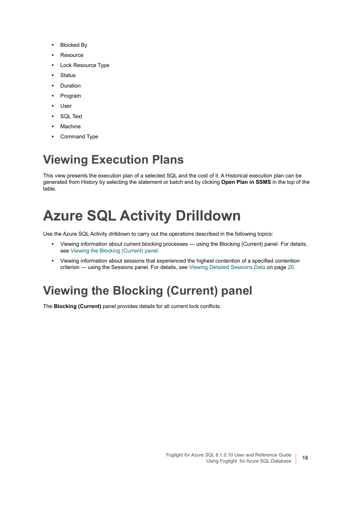- **•** Blocked By
- **•** Resource
- **•** Lock Resource Type
- **•** Status
- **•** Duration
- **•** Program
- **•** User
- **•** SQL Text
- **•** Machine
- **•** Command Type

## <span id="page-17-0"></span>**Viewing Execution Plans**

This view presents the execution plan of a selected SQL and the cost of it. A Historical execution plan can be generated from History by selecting the statement or batch and by clicking **Open Plan in SSMS** in the top of the table.

# <span id="page-17-1"></span>**Azure SQL Activity Drilldown**

Use the Azure SQL Activity drilldown to carry out the operations described in the following topics:

- **•** Viewing information about current blocking processes using the Blocking (Current) panel. For details, see [Viewing the Blocking \(Current\) panel](#page-17-2).
- **•** Viewing information about sessions that experienced the highest contention of a specified contention criterion — using the Sessions panel. For details, see [Viewing Detailed Sessions Data on page 20](#page-19-0).

## <span id="page-17-2"></span>**Viewing the Blocking (Current) panel**

The **Blocking (Current)** panel provides details for all current lock conflicts.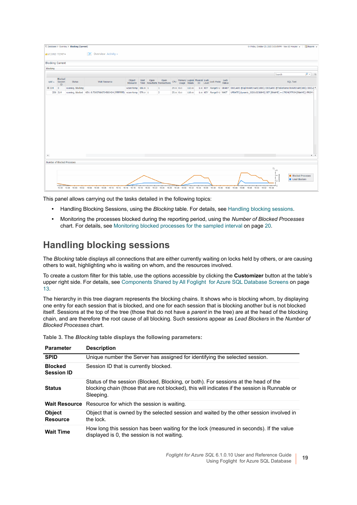|                         |                                            | E Databases > Overview > Blocking (Current) |                                                                              |                     |  |                                                                |            |        |  |                                                                           | G+ Friday, October 23, 2020 3:55:09 PM - Now 60 minutes $\mathbf{w} = \begin{bmatrix} \mathbf{a} \\ \mathbf{b} \end{bmatrix}$ Reports $\mathbf{w}$                      |        |                                           |                   |
|-------------------------|--------------------------------------------|---------------------------------------------|------------------------------------------------------------------------------|---------------------|--|----------------------------------------------------------------|------------|--------|--|---------------------------------------------------------------------------|-------------------------------------------------------------------------------------------------------------------------------------------------------------------------|--------|-------------------------------------------|-------------------|
| AVCORE-TEMP             |                                            |                                             | <b>I</b> Overview Activity <del>▼</del>                                      |                     |  |                                                                |            |        |  |                                                                           |                                                                                                                                                                         |        |                                           |                   |
|                         |                                            |                                             |                                                                              |                     |  |                                                                |            |        |  |                                                                           |                                                                                                                                                                         |        |                                           |                   |
| <b>Blocking Current</b> |                                            |                                             |                                                                              |                     |  |                                                                |            |        |  |                                                                           |                                                                                                                                                                         |        |                                           |                   |
| Blocking                |                                            |                                             |                                                                              |                     |  |                                                                |            |        |  |                                                                           |                                                                                                                                                                         |        |                                           |                   |
|                         |                                            |                                             |                                                                              |                     |  |                                                                |            |        |  |                                                                           |                                                                                                                                                                         | Search |                                           | $\rho$ = $\equiv$ |
| spid $\triangle$        | <b>Blocked</b><br>Session<br>$\mathbf{ID}$ | Status                                      | <b>Wait Resource</b>                                                         |                     |  | Object Wait Open Open<br>Resource Time Resultsets Transactions |            |        |  | CPU Memory Logical Physical Lock<br>Usage Reads IO Level Lock Mode Status |                                                                                                                                                                         |        | <b>SQL Text</b>                           |                   |
| $\boxplus$ 214          | $\overline{\phantom{0}}$                   | running, blocking                           |                                                                              | vcore-temp 106.90 1 |  | $\mathbf{1}$                                                   | 29.00 0.03 | 112.00 |  |                                                                           | 1.00 KEY RangeS-U GRANT DECLARE @Sql NVARCHAR(1000); DECLARE @TableName NVARCHAR(100); DECLA ^                                                                          |        |                                           |                   |
|                         | 220 214                                    |                                             | running, blocked KEY: 8:72057606724583424 (ffffffffffff) vcore-temp 579.57 1 |                     |  | $\overline{2}$                                                 | 25.00 0.03 | 110.00 |  |                                                                           | 1.00 KEY RangeS-U WAIT UPDATE [dynamic_202010230845] SET [BNAME] = LTRIM(RTRIM(BNAME)) FROM                                                                             |        |                                           |                   |
|                         |                                            |                                             |                                                                              |                     |  |                                                                |            |        |  |                                                                           |                                                                                                                                                                         |        |                                           |                   |
|                         |                                            |                                             |                                                                              |                     |  |                                                                |            |        |  |                                                                           |                                                                                                                                                                         |        |                                           |                   |
|                         |                                            |                                             |                                                                              |                     |  |                                                                |            |        |  |                                                                           |                                                                                                                                                                         |        |                                           |                   |
|                         |                                            |                                             |                                                                              |                     |  |                                                                |            |        |  |                                                                           |                                                                                                                                                                         |        |                                           |                   |
|                         |                                            |                                             |                                                                              |                     |  |                                                                |            |        |  |                                                                           |                                                                                                                                                                         |        |                                           |                   |
|                         |                                            |                                             |                                                                              |                     |  |                                                                |            |        |  |                                                                           |                                                                                                                                                                         |        |                                           |                   |
|                         |                                            |                                             |                                                                              |                     |  |                                                                |            |        |  |                                                                           |                                                                                                                                                                         |        |                                           |                   |
|                         |                                            |                                             |                                                                              |                     |  |                                                                |            |        |  |                                                                           |                                                                                                                                                                         |        |                                           |                   |
|                         |                                            |                                             |                                                                              |                     |  |                                                                |            |        |  |                                                                           |                                                                                                                                                                         |        |                                           |                   |
|                         |                                            |                                             |                                                                              |                     |  |                                                                |            |        |  |                                                                           |                                                                                                                                                                         |        |                                           |                   |
| $\rightarrow$           |                                            |                                             |                                                                              |                     |  |                                                                |            |        |  |                                                                           |                                                                                                                                                                         |        |                                           | $+$ $+$           |
|                         |                                            | Number of Blocked Processes                 |                                                                              |                     |  |                                                                |            |        |  |                                                                           |                                                                                                                                                                         |        |                                           |                   |
|                         |                                            |                                             |                                                                              |                     |  |                                                                |            |        |  |                                                                           | 環                                                                                                                                                                       |        |                                           |                   |
|                         |                                            |                                             |                                                                              |                     |  |                                                                |            |        |  |                                                                           |                                                                                                                                                                         |        |                                           |                   |
|                         |                                            |                                             |                                                                              |                     |  |                                                                |            |        |  |                                                                           |                                                                                                                                                                         |        | <b>Blocked Processes</b><br>Lead Blockers |                   |
|                         |                                            |                                             |                                                                              |                     |  |                                                                |            |        |  |                                                                           |                                                                                                                                                                         |        |                                           |                   |
|                         |                                            |                                             |                                                                              |                     |  |                                                                |            |        |  |                                                                           | 15:56 15:58 16:00 16:02 16:04 16:06 16:08 16:10 16:12 16:14 16:16 16:18 16:20 16:22 16:24 16:28 16:30 16:32 16:34 16:38 16:49 16:44 16:48 16:48 16:48 16:50 16:52 16:54 |        |                                           |                   |

This panel allows carrying out the tasks detailed in the following topics:

- **•** Handling Blocking Sessions, using the *Blocking* table. For details, see [Handling blocking sessions.](#page-18-0)
- **•** Monitoring the processes blocked during the reporting period, using the *Number of Blocked Processes* chart. For details, see [Monitoring blocked processes for the sampled interval on page 20.](#page-19-1)

#### <span id="page-18-0"></span>**Handling blocking sessions**

The *Blocking* table displays all connections that are either currently waiting on locks held by others, or are causing others to wait, highlighting who is waiting on whom, and the resources involved.

To create a custom filter for this table, use the options accessible by clicking the **Customizer** button at the table's upper right side. For details, see [Components Shared by All Foglight for Azure SQL Database Screens on page](#page-12-0)  [13.](#page-12-0)

The hierarchy in this tree diagram represents the blocking chains. It shows who is blocking whom, by displaying one entry for each session that is blocked, and one for each session that is blocking another but is not blocked itself. Sessions at the top of the tree (those that do not have a *parent* in the tree) are at the head of the blocking chain, and are therefore the root cause of all blocking. Such sessions appear as *Lead Blockers* in the *Number of Blocked Processes* chart.

| <b>Parameter</b>                    | <b>Description</b>                                                                                                                                                                                 |
|-------------------------------------|----------------------------------------------------------------------------------------------------------------------------------------------------------------------------------------------------|
| <b>SPID</b>                         | Unique number the Server has assigned for identifying the selected session.                                                                                                                        |
| <b>Blocked</b><br><b>Session ID</b> | Session ID that is currently blocked.                                                                                                                                                              |
| <b>Status</b>                       | Status of the session (Blocked, Blocking, or both). For sessions at the head of the<br>blocking chain (those that are not blocked), this will indicates if the session is Runnable or<br>Sleeping. |
|                                     | <b>Wait Resource</b> Resource for which the session is waiting.                                                                                                                                    |
| <b>Object</b><br><b>Resource</b>    | Object that is owned by the selected session and waited by the other session involved in<br>the lock.                                                                                              |
| <b>Wait Time</b>                    | How long this session has been waiting for the lock (measured in seconds). If the value<br>displayed is 0, the session is not waiting.                                                             |

**Table 3. The** *Blocking* **table displays the following parameters:**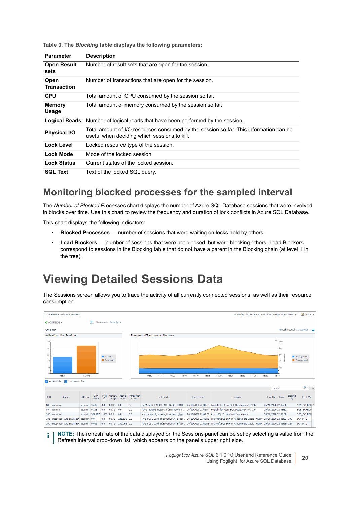**Table 3. The** *Blocking* **table displays the following parameters:**

| <b>Parameter</b>           | <b>Description</b>                                                                                                                    |
|----------------------------|---------------------------------------------------------------------------------------------------------------------------------------|
| <b>Open Result</b><br>sets | Number of result sets that are open for the session.                                                                                  |
| Open<br><b>Transaction</b> | Number of transactions that are open for the session.                                                                                 |
| <b>CPU</b>                 | Total amount of CPU consumed by the session so far.                                                                                   |
| <b>Memory</b><br>Usage     | Total amount of memory consumed by the session so far.                                                                                |
| <b>Logical Reads</b>       | Number of logical reads that have been performed by the session.                                                                      |
| <b>Physical I/O</b>        | Total amount of I/O resources consumed by the session so far. This information can be<br>useful when deciding which sessions to kill. |
| <b>Lock Level</b>          | Locked resource type of the session.                                                                                                  |
| Lock Mode                  | Mode of the locked session.                                                                                                           |
| <b>Lock Status</b>         | Current status of the locked session.                                                                                                 |
| <b>SQL Text</b>            | Text of the locked SQL query.                                                                                                         |

#### <span id="page-19-1"></span>**Monitoring blocked processes for the sampled interval**

The *Number of Blocked Processes* chart displays the number of Azure SQL Database sessions that were involved in blocks over time. Use this chart to review the frequency and duration of lock conflicts in Azure SQL Database.

This chart displays the following indicators:

- **Blocked Processes** number of sessions that were waiting on locks held by others.
- **Lead Blockers** number of sessions that were not blocked, but were blocking others. Lead Blockers correspond to sessions in the Blocking table that do not have a parent in the Blocking chain (at level 1 in the tree).

#### <span id="page-19-0"></span>**Viewing Detailed Sessions Data**

The Sessions screen allows you to trace the activity of all currently connected sessions, as well as their resource consumption.



**NOTE:** The refresh rate of the data displayed on the Sessions panel can be set by selecting a value from the i Refresh interval drop-down list, which appears on the panel's upper right side.

> *Foglight for Azure SQL* 6.1.0.10 User and Reference Guide Using Foglight for Azure SQL Database **<sup>20</sup>**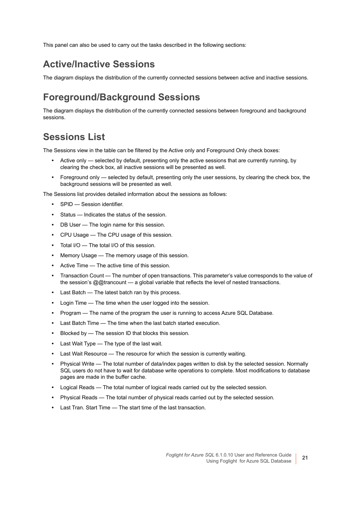This panel can also be used to carry out the tasks described in the following sections:

#### **Active/Inactive Sessions**

The diagram displays the distribution of the currently connected sessions between active and inactive sessions.

#### **Foreground/Background Sessions**

The diagram displays the distribution of the currently connected sessions between foreground and background sessions.

#### **Sessions List**

The Sessions view in the table can be filtered by the Active only and Foreground Only check boxes:

- **•** Active only selected by default, presenting only the active sessions that are currently running, by clearing the check box, all inactive sessions will be presented as well.
- **•** Foreground only selected by default, presenting only the user sessions, by clearing the check box, the background sessions will be presented as well.

The Sessions list provides detailed information about the sessions as follows:

- **•** SPID Session identifier.
- **•** Status Indicates the status of the session.
- **•** DB User The login name for this session.
- **•** CPU Usage The CPU usage of this session.
- **•** Total I/O The total I/O of this session.
- **•** Memory Usage The memory usage of this session.
- **•** Active Time The active time of this session.
- **•** Transaction Count The number of open transactions. This parameter's value corresponds to the value of the session's @@trancount — a global variable that reflects the level of nested transactions.
- **•** Last Batch The latest batch ran by this process.
- **•** Login Time The time when the user logged into the session.
- **•** Program The name of the program the user is running to access Azure SQL Database.
- **•** Last Batch Time The time when the last batch started execution.
- **•** Blocked by The session ID that blocks this session.
- **•** Last Wait Type The type of the last wait.
- **•** Last Wait Resource The resource for which the session is currently waiting.
- **•** Physical Write The total number of data/index pages written to disk by the selected session. Normally SQL users do not have to wait for database write operations to complete. Most modifications to database pages are made in the buffer cache.
- **•** Logical Reads The total number of logical reads carried out by the selected session.
- **•** Physical Reads The total number of physical reads carried out by the selected session.
- **•** Last Tran. Start Time The start time of the last transaction.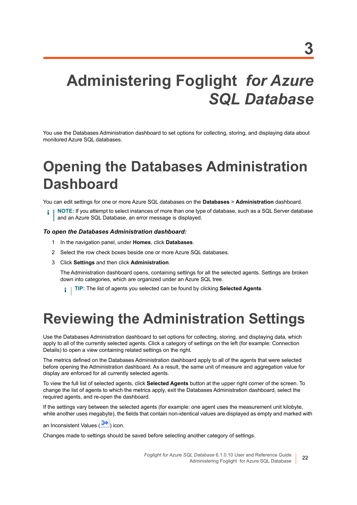# <span id="page-21-3"></span><span id="page-21-0"></span>**Administering Foglight** *for Azure SQL Database*

You use the Databases Administration dashboard to set options for collecting, storing, and displaying data about monitored Azure SQL databases.

# <span id="page-21-1"></span>**Opening the Databases Administration Dashboard**

You can edit settings for one or more Azure SQL databases on the **Databases** > **Administration** dashboard.

**NOTE:** If you attempt to select instances of more than one type of database, such as a SQL Server database ÷ and an Azure SQL Database, an error message is displayed.

#### *To open the Databases Administration dashboard:*

- 1 In the navigation panel, under **Homes**, click **Databases**.
- 2 Select the row check boxes beside one or more Azure SQL databases.
- 3 Click **Settings** and then click **Administration**.

The Administration dashboard opens, containing settings for all the selected agents. Settings are broken down into categories, which are organized under an Azure SQL tree.

**TIP:** The list of agents you selected can be found by clicking **Selected Agents**.

# <span id="page-21-2"></span>**Reviewing the Administration Settings**

Use the Databases Administration dashboard to set options for collecting, storing, and displaying data, which apply to all of the currently selected agents. Click a category of settings on the left (for example: Connection Details) to open a view containing related settings on the right.

The metrics defined on the Databases Administration dashboard apply to all of the agents that were selected before opening the Administration dashboard. As a result, the same unit of measure and aggregation value for display are enforced for all currently selected agents.

To view the full list of selected agents, click **Selected Agents** button at the upper right corner of the screen. To change the list of agents to which the metrics apply, exit the Databases Administration dashboard, select the required agents, and re-open the dashboard.

If the settings vary between the selected agents (for example: one agent uses the measurement unit kilobyte, while another uses megabyte), the fields that contain non-identical values are displayed as empty and marked with

an Inconsistent Values (20) icon.

Changes made to settings should be saved before selecting another category of settings.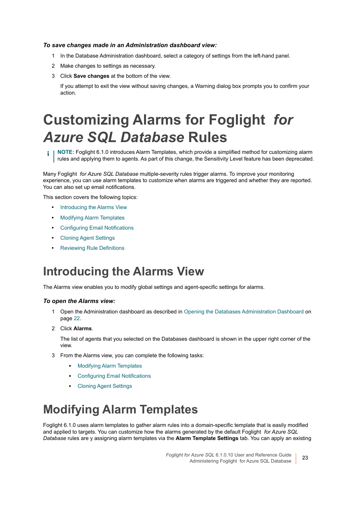#### *To save changes made in an Administration dashboard view:*

- 1 In the Database Administration dashboard, select a category of settings from the left-hand panel.
- 2 Make changes to settings as necessary.
- 3 Click **Save changes** at the bottom of the view.

If you attempt to exit the view without saving changes, a Warning dialog box prompts you to confirm your action.

# <span id="page-22-0"></span>**Customizing Alarms for Foglight** *for Azure SQL Database* **Rules**

**NOTE:** Foglight 6.1.0 introduces Alarm Templates, which provide a simplified method for customizing alarm i l rules and applying them to agents. As part of this change, the Sensitivity Level feature has been deprecated.

Many Foglight *for Azure SQL Database* multiple-severity rules trigger alarms. To improve your monitoring experience, you can use alarm templates to customize when alarms are triggered and whether they are reported. You can also set up email notifications.

This section covers the following topics:

- **•** [Introducing the Alarms View](#page-22-1)
- **•** [Modifying Alarm Templates](#page-22-2)
- **•** [Configuring Email Notifications](#page-24-0)
- **•** [Cloning Agent Settings](#page-28-0)
- **•** [Reviewing Rule Definitions](#page-28-1)

#### <span id="page-22-1"></span>**Introducing the Alarms View**

The Alarms view enables you to modify global settings and agent-specific settings for alarms.

#### *To open the Alarms view:*

- 1 Open the Administration dashboard as described in [Opening the Databases Administration Dashboard on](#page-21-1)  [page 22](#page-21-1).
- 2 Click **Alarms**.

The list of agents that you selected on the Databases dashboard is shown in the upper right corner of the view.

- 3 From the Alarms view, you can complete the following tasks:
	- **▪** [Modifying Alarm Templates](#page-22-2)
	- **▪** [Configuring Email Notifications](#page-24-0)
	- **▪** [Cloning Agent Settings](#page-28-0)

#### <span id="page-22-2"></span>**Modifying Alarm Templates**

Foglight 6.1.0 uses alarm templates to gather alarm rules into a domain-specific template that is easily modified and applied to targets. You can customize how the alarms generated by the default Foglight *for Azure SQL Database* rules are y assigning alarm templates via the **Alarm Template Settings** tab. You can apply an existing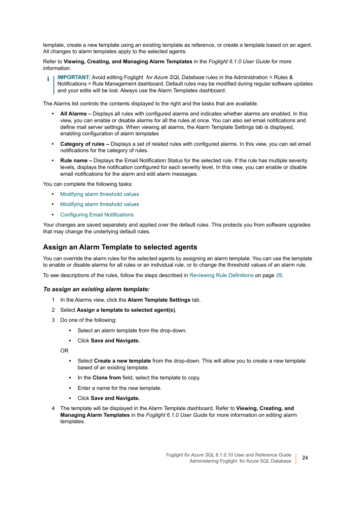template, create a new template using an existing template as reference, or create a template based on an agent. All changes to alarm templates apply to the selected agents.

Refer to **Viewing, Creating, and Managing Alarm Templates** in the *Foglight 6.1.0 User Guide* for more information.

**IMPORTANT:** Avoid editing Foglight *for Azure SQL Database* rules in the Administration > Rules & ÷ Notifications > Rule Management dashboard. Default rules may be modified during regular software updates and your edits will be lost. Always use the Alarm Templates dashboard.

The Alarms list controls the contents displayed to the right and the tasks that are available.

- **All Alarms** Displays all rules with configured alarms and indicates whether alarms are enabled. In this view, you can enable or disable alarms for all the rules at once. You can also set email notifications and define mail server settings. When viewing all alarms, the Alarm Template Settings tab is displayed, enabling configuration of alarm templates
- **Category of rules** Displays a set of related rules with configured alarms. In this view, you can set email notifications for the category of rules.
- **Rule name** Displays the Email Notification Status for the selected rule. If the rule has multiple severity levels, displays the notification configured for each severity level. In this view, you can enable or disable email notifications for the alarm and edit alarm messages.

You can complete the following tasks:

- **•** [Modifying alarm threshold values](#page-24-1)
- **•** [Modifying alarm threshold values](#page-24-1)
- **•** [Configuring Email Notifications](#page-24-0)

Your changes are saved separately and applied over the default rules. This protects you from software upgrades that may change the underlying default rules.

#### **Assign an Alarm Template to selected agents**

You can override the alarm rules for the selected agents by assigning an alarm template. You can use the template to enable or disable alarms for all rules or an individual rule, or to change the threshold values of an alarm rule.

To see descriptions of the rules, follow the steps described in [Reviewing Rule Definitions on page 29.](#page-28-1)

#### *To assign an existing alarm template:*

- 1 In the Alarms view, click the **Alarm Template Settings** tab.
- 2 Select **Assign a template to selected agent(s)**,
- 3 Do one of the following:
	- **▪** Select an alarm template from the drop-down.
	- **▪** Click **Save and Navigate.**

OR

- **▪** Select **Create a new template** from the drop-down. This will allow you to create a new template based of an existing template.
- **▪** In the **Clone from** field, select the template to copy.
- **▪** Enter a name for the new template.
- **▪** Click **Save and Navigate.**
- 4 The template will be displayed in the Alarm Template dashboard. Refer to **Viewing, Creating, and Managing Alarm Templates** in the *Foglight 6.1.0 User Guide* for more information on editing alarm templates.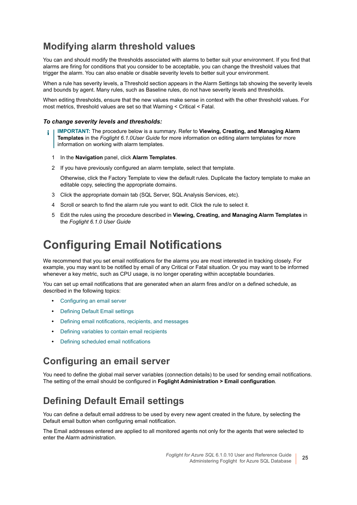#### <span id="page-24-1"></span>**Modifying alarm threshold values**

You can and should modify the thresholds associated with alarms to better suit your environment. If you find that alarms are firing for conditions that you consider to be acceptable, you can change the threshold values that trigger the alarm. You can also enable or disable severity levels to better suit your environment.

When a rule has severity levels, a Threshold section appears in the Alarm Settings tab showing the severity levels and bounds by agent. Many rules, such as Baseline rules, do not have severity levels and thresholds.

When editing thresholds, ensure that the new values make sense in context with the other threshold values. For most metrics, threshold values are set so that Warning < Critical < Fatal.

#### *To change severity levels and thresholds:*

- **IMPORTANT:** The procedure below is a summary. Refer to **Viewing, Creating, and Managing Alarm**  ÷ **Templates** in the *Foglight 6.1.0User Guide* for more information on editing alarm templates for more information on working with alarm templates.
	- 1 In the **Navigation** panel, click **Alarm Templates**.
	- 2 If you have previously configured an alarm template, select that template.

Otherwise, click the Factory Template to view the default rules. Duplicate the factory template to make an editable copy, selecting the appropriate domains.

- 3 Click the appropriate domain tab (SQL Server, SQL Analysis Services, etc).
- 4 Scroll or search to find the alarm rule you want to edit. Click the rule to select it.
- 5 Edit the rules using the procedure described in **Viewing, Creating, and Managing Alarm Templates** in the *Foglight 6.1.0 User Guide*

#### <span id="page-24-0"></span>**Configuring Email Notifications**

We recommend that you set email notifications for the alarms you are most interested in tracking closely. For example, you may want to be notified by email of any Critical or Fatal situation. Or you may want to be informed whenever a key metric, such as CPU usage, is no longer operating within acceptable boundaries.

You can set up email notifications that are generated when an alarm fires and/or on a defined schedule, as described in the following topics:

- **•** [Configuring an email server](#page-24-2)
- **•** [Defining Default Email settings](#page-24-3)
- **•** [Defining email notifications, recipients, and messages](#page-25-0)
- **•** [Defining variables to contain email recipients](#page-27-0)
- **•** [Defining scheduled email notifications](#page-27-1)

#### <span id="page-24-2"></span>**Configuring an email server**

You need to define the global mail server variables (connection details) to be used for sending email notifications. The setting of the email should be configured in **Foglight Administration > Email configuration**.

#### <span id="page-24-3"></span>**Defining Default Email settings**

You can define a default email address to be used by every new agent created in the future, by selecting the Default email button when configuring email notification.

The Email addresses entered are applied to all monitored agents not only for the agents that were selected to enter the Alarm administration.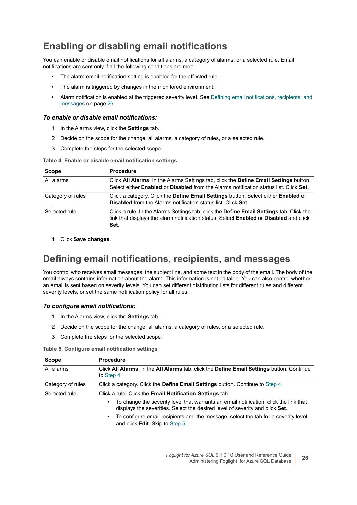#### **Enabling or disabling email notifications**

You can enable or disable email notifications for all alarms, a category of alarms, or a selected rule. Email notifications are sent only if all the following conditions are met:

- **•** The alarm email notification setting is enabled for the affected rule.
- **•** The alarm is triggered by changes in the monitored environment.
- **•** Alarm notification is enabled at the triggered severity level. See [Defining email notifications, recipients, and](#page-25-0)  [messages on page 26](#page-25-0).

#### *To enable or disable email notifications:*

- 1 In the Alarms view, click the **Settings** tab.
- 2 Decide on the scope for the change: all alarms, a category of rules, or a selected rule.
- 3 Complete the steps for the selected scope:

**Table 4. Enable or disable email notification settings**

| <b>Scope</b>      | <b>Procedure</b>                                                                                                                                                                              |
|-------------------|-----------------------------------------------------------------------------------------------------------------------------------------------------------------------------------------------|
| All alarms        | Click All Alarms. In the Alarms Settings tab, click the Define Email Settings button.<br>Select either <b>Enabled</b> or <b>Disabled</b> from the Alarms notification status list. Click Set. |
| Category of rules | Click a category. Click the <b>Define Email Settings</b> button. Select either <b>Enabled</b> or<br>Disabled from the Alarms notification status list. Click Set.                             |
| Selected rule     | Click a rule. In the Alarms Settings tab, click the Define Email Settings tab. Click the<br>link that displays the alarm notification status. Select Enabled or Disabled and click<br>Set.    |

4 Click **Save changes**.

#### <span id="page-25-0"></span>**Defining email notifications, recipients, and messages**

You control who receives email messages, the subject line, and some text in the body of the email. The body of the email always contains information about the alarm. This information is not editable. You can also control whether an email is sent based on severity levels. You can set different distribution lists for different rules and different severity levels, or set the same notification policy for all rules.

#### *To configure email notifications:*

- 1 In the Alarms view, click the **Settings** tab.
- 2 Decide on the scope for the change: all alarms, a category of rules, or a selected rule.
- 3 Complete the steps for the selected scope:

**Table 5. Configure email notification settings**

| <b>Scope</b>      | <b>Procedure</b>                                                                                                                                                                                                                                                                                                                                                                     |  |
|-------------------|--------------------------------------------------------------------------------------------------------------------------------------------------------------------------------------------------------------------------------------------------------------------------------------------------------------------------------------------------------------------------------------|--|
| All alarms        | Click All Alarms. In the All Alarms tab, click the Define Email Settings button. Continue<br>to Step 4.                                                                                                                                                                                                                                                                              |  |
| Category of rules | Click a category. Click the Define Email Settings button. Continue to Step 4.                                                                                                                                                                                                                                                                                                        |  |
| Selected rule     | Click a rule. Click the <b>Email Notification Settings</b> tab.<br>To change the severity level that warrants an email notification, click the link that<br>٠<br>displays the severities. Select the desired level of severity and click Set.<br>To configure email recipients and the message, select the tab for a severity level,<br>٠<br>and click <b>Edit</b> . Skip to Step 5. |  |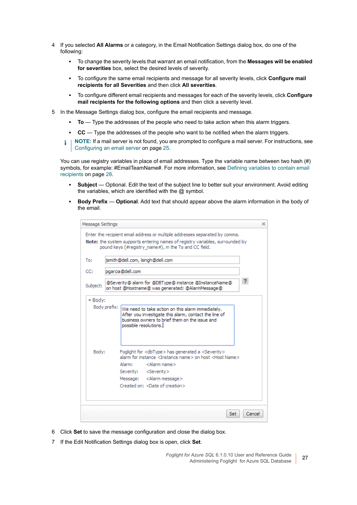- <span id="page-26-0"></span>4 If you selected **All Alarms** or a category, in the Email Notification Settings dialog box, do one of the following:
	- **▪** To change the severity levels that warrant an email notification, from the **Messages will be enabled for severities** box, select the desired levels of severity.
	- **▪** To configure the same email recipients and message for all severity levels, click **Configure mail recipients for all Severities** and then click **All severities**.
	- **▪** To configure different email recipients and messages for each of the severity levels, click **Configure mail recipients for the following options** and then click a severity level.
- <span id="page-26-1"></span>5 In the Message Settings dialog box, configure the email recipients and message.
	- **▪ To** Type the addresses of the people who need to take action when this alarm triggers.
	- **▪ CC** Type the addresses of the people who want to be notified when the alarm triggers.
	- **i** | NOTE: If a mail server is not found, you are prompted to configure a mail server. For instructions, see [Configuring an email server on page 25](#page-24-2).

You can use registry variables in place of email addresses. Type the variable name between two hash (#) symbols, for example: #EmailTeamName#. For more information, see Defining variables to contain email [recipients on page 28.](#page-27-0)

- **▪ Subject** Optional. Edit the text of the subject line to better suit your environment. Avoid editing the variables, which are identified with the  $@$  symbol.
- **Body Prefix Optional**. Add text that should appear above the alarm information in the body of the email.

| Message Settings | ×<br>Enter the recipient email address or multiple addresses separated by comma.                                                                                                                                                                                                                                       |
|------------------|------------------------------------------------------------------------------------------------------------------------------------------------------------------------------------------------------------------------------------------------------------------------------------------------------------------------|
|                  | <b>Note:</b> the system supports entering names of registry variables, surrounded by<br>pound keys (#registry name#), in the To and CC field.                                                                                                                                                                          |
| To:              | jsmith@dell.com, lsingh@dell.com                                                                                                                                                                                                                                                                                       |
| CC:              | pgarcia@dell.com                                                                                                                                                                                                                                                                                                       |
| Subject:         | ?<br>@Severity@ alarm for @DBType@ instance @InstanceName@<br>on host @Hostname@ was generated: @AlarmMessage@                                                                                                                                                                                                         |
|                  | Body prefix:<br>We need to take action on this alarm immediately.<br>After you investigate this alarm, contact the line of<br>business owners to brief them on the issue and<br>possible resolutions.                                                                                                                  |
| Body:            | Foglight for <dbtype> has generated a <severity><br/>alarm for instance <instance name=""> on host <host name=""><br/>Alarm:<br/><alarm name=""><br/>Severity: <severity><br/>Message: &lt; Alarm message&gt;<br/>Created on: <date creation="" of=""></date></severity></alarm></host></instance></severity></dbtype> |
|                  | Cancel<br>Set                                                                                                                                                                                                                                                                                                          |

- 6 Click **Set** to save the message configuration and close the dialog box.
- 7 If the Edit Notification Settings dialog box is open, click **Set**.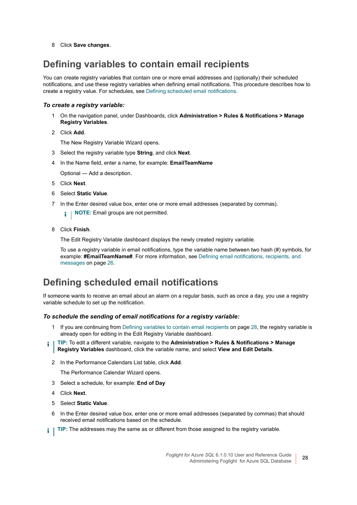8 Click **Save changes**.

#### <span id="page-27-0"></span>**Defining variables to contain email recipients**

You can create registry variables that contain one or more email addresses and (optionally) their scheduled notifications, and use these registry variables when defining email notifications. This procedure describes how to create a registry value. For schedules, see [Defining scheduled email notifications](#page-27-1).

#### *To create a registry variable:*

- 1 On the navigation panel, under Dashboards, click **Administration > Rules & Notifications > Manage Registry Variables**.
- 2 Click **Add**.

The New Registry Variable Wizard opens.

- 3 Select the registry variable type **String**, and click **Next**.
- 4 In the Name field, enter a name, for example: **EmailTeamName**

Optional — Add a description.

- 5 Click **Next**.
- 6 Select **Static Value**.
- 7 In the Enter desired value box, enter one or more email addresses (separated by commas).
	- **NOTE:** Email groups are not permitted. i I
- 8 Click **Finish**.

The Edit Registry Variable dashboard displays the newly created registry variable.

To use a registry variable in email notifications, type the variable name between two hash (#) symbols, for example: **#EmailTeamName#**. For more information, see [Defining email notifications, recipients, and](#page-25-0)  [messages on page 26](#page-25-0).

#### <span id="page-27-1"></span>**Defining scheduled email notifications**

If someone wants to receive an email about an alarm on a regular basis, such as once a day, you use a registry variable schedule to set up the notification.

#### *To schedule the sending of email notifications for a registry variable:*

- 1 If you are continuing from [Defining variables to contain email recipients on page 28,](#page-27-0) the registry variable is already open for editing in the Edit Registry Variable dashboard.
- **TIP:** To edit a different variable, navigate to the **Administration > Rules & Notifications > Manage**  i **Registry Variables** dashboard, click the variable name, and select **View and Edit Details**.
	- 2 In the Performance Calendars List table, click **Add**.

The Performance Calendar Wizard opens.

- 3 Select a schedule, for example: **End of Day**
- 4 Click **Next**.
- 5 Select **Static Value**.
- 6 In the Enter desired value box, enter one or more email addresses (separated by commas) that should received email notifications based on the schedule.
- **TIP:** The addresses may the same as or different from those assigned to the registry variable.÷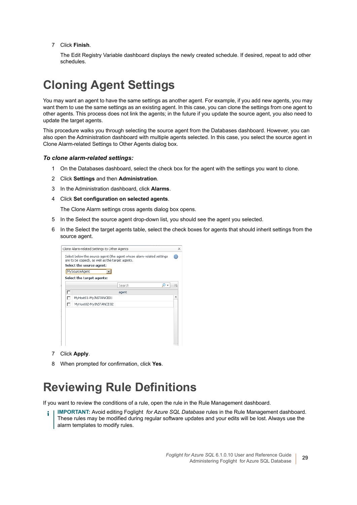7 Click **Finish**.

The Edit Registry Variable dashboard displays the newly created schedule. If desired, repeat to add other schedules.

### <span id="page-28-0"></span>**Cloning Agent Settings**

You may want an agent to have the same settings as another agent. For example, if you add new agents, you may want them to use the same settings as an existing agent. In this case, you can clone the settings from one agent to other agents. This process does not link the agents; in the future if you update the source agent, you also need to update the target agents.

This procedure walks you through selecting the source agent from the Databases dashboard. However, you can also open the Administration dashboard with multiple agents selected. In this case, you select the source agent in Clone Alarm-related Settings to Other Agents dialog box.

#### *To clone alarm-related settings:*

- 1 On the Databases dashboard, select the check box for the agent with the settings you want to clone.
- 2 Click **Settings** and then **Administration**.
- 3 In the Administration dashboard, click **Alarms**.
- 4 Click **Set configuration on selected agents**.

The Clone Alarm settings cross agents dialog box opens.

- 5 In the Select the source agent drop-down list, you should see the agent you selected.
- 6 In the Select the target agents table, select the check boxes for agents that should inherit settings from the source agent.

| Select the target agents:<br>Search<br>г<br>agent |  |
|---------------------------------------------------|--|
|                                                   |  |
|                                                   |  |
| MyHost01-MyINSTANCE01<br>г                        |  |
| MyHost02-My INSTANCE02<br>┍                       |  |
|                                                   |  |
|                                                   |  |

- 7 Click **Apply**.
- 8 When prompted for confirmation, click **Yes**.

#### <span id="page-28-1"></span>**Reviewing Rule Definitions**

If you want to review the conditions of a rule, open the rule in the Rule Management dashboard.

**IMPORTANT:** Avoid editing Foglight *for Azure SQL Database* rules in the Rule Management dashboard. ÷ These rules may be modified during regular software updates and your edits will be lost. Always use the alarm templates to modify rules.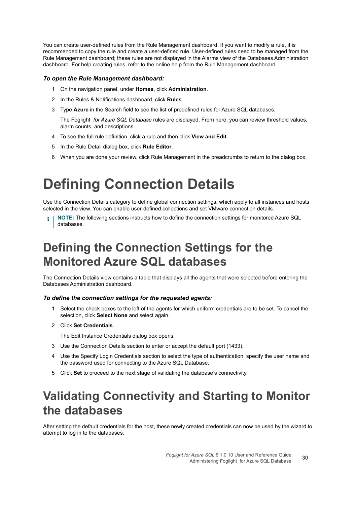You can create user-defined rules from the Rule Management dashboard. If you want to modify a rule, it is recommended to copy the rule and create a user-defined rule. User-defined rules need to be managed from the Rule Management dashboard; these rules are not displayed in the Alarms view of the Databases Administration dashboard. For help creating rules, refer to the online help from the Rule Management dashboard.

#### *To open the Rule Management dashboard:*

- 1 On the navigation panel, under **Homes**, click **Administration**.
- 2 In the Rules & Notifications dashboard, click **Rules**.
- 3 Type **Azure** in the Search field to see the list of predefined rules for Azure SQL databases.

The Foglight *for Azure SQL Database* rules are displayed. From here, you can review threshold values, alarm counts, and descriptions.

- 4 To see the full rule definition, click a rule and then click **View and Edit**.
- 5 In the Rule Detail dialog box, click **Rule Editor**.
- 6 When you are done your review, click Rule Management in the breadcrumbs to return to the dialog box.

# <span id="page-29-0"></span>**Defining Connection Details**

Use the Connection Details category to define global connection settings, which apply to all instances and hosts selected in the view. You can enable user-defined collections and set VMware connection details.

**NOTE:** The following sections instructs how to define the connection settings for monitored Azure SQL ÷ databases.

#### <span id="page-29-1"></span>**Defining the Connection Settings for the Monitored Azure SQL databases**

The Connection Details view contains a table that displays all the agents that were selected before entering the Databases Administration dashboard.

#### *To define the connection settings for the requested agents:*

- 1 Select the check boxes to the left of the agents for which uniform credentials are to be set. To cancel the selection, click **Select None** and select again.
- 2 Click **Set Credentials**.

The Edit Instance Credentials dialog box opens.

- 3 Use the Connection Details section to enter or accept the default port (1433).
- 4 Use the Specify Login Credentials section to select the type of authentication, specify the user name and the password used for connecting to the Azure SQL Database.
- 5 Click **Set** to proceed to the next stage of validating the database's connectivity.

#### <span id="page-29-2"></span>**Validating Connectivity and Starting to Monitor the databases**

After setting the default credentials for the host, these newly created credentials can now be used by the wizard to attempt to log in to the databases.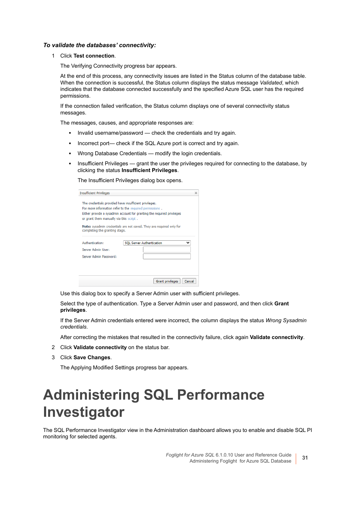#### *To validate the databases' connectivity:*

1 Click **Test connection**.

The Verifying Connectivity progress bar appears.

At the end of this process, any connectivity issues are listed in the Status column of the database table. When the connection is successful, the Status column displays the status message *Validated*, which indicates that the database connected successfully and the specified Azure SQL user has the required permissions.

If the connection failed verification, the Status column displays one of several connectivity status messages.

The messages, causes, and appropriate responses are:

- **▪** Invalid username/password check the credentials and try again.
- Incorrect port— check if the SQL Azure port is correct and try again.
- Wrong Database Credentials modify the login credentials.
- Insufficient Privileges grant the user the privileges required for connecting to the database, by clicking the status **Insufficient Privileges**.

The Insufficient Privileges dialog box opens.

| <b>Insufficient Privileges</b>                         |                                                                        | × |
|--------------------------------------------------------|------------------------------------------------------------------------|---|
| The credentials provided have insufficient privileges. |                                                                        |   |
|                                                        | For more information refer to the required permissions.                |   |
|                                                        | Either provide a sysadmin account for granting the required privileges |   |
| or grant them manually via this script.                |                                                                        |   |
| completing the granting stage.                         | Note: sysadmin credentials are not saved. They are required only for   |   |
| Authentication:                                        | <b>SOL Server Authentication</b>                                       |   |
| Server Admin User:                                     |                                                                        |   |
|                                                        |                                                                        |   |
| Server Admin Password:                                 |                                                                        |   |
|                                                        |                                                                        |   |
|                                                        |                                                                        |   |
|                                                        |                                                                        |   |

Use this dialog box to specify a Server Admin user with sufficient privileges.

Select the type of authentication. Type a Server Admin user and password, and then click **Grant privileges**.

If the Server Admin credentials entered were incorrect, the column displays the status *Wrong Sysadmin credentials*.

After correcting the mistakes that resulted in the connectivity failure, click again **Validate connectivity**.

- 2 Click **Validate connectivity** on the status bar.
- 3 Click **Save Changes**.

The Applying Modified Settings progress bar appears.

# <span id="page-30-0"></span>**Administering SQL Performance Investigator**

The SQL Performance Investigator view in the Administration dashboard allows you to enable and disable SQL PI monitoring for selected agents.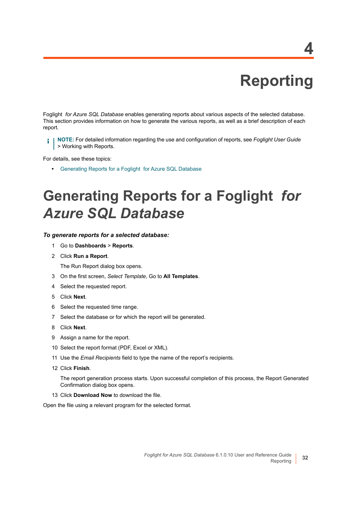# **Reporting**

<span id="page-31-0"></span>Foglight *for Azure SQL Database* enables generating reports about various aspects of the selected database. This section provides information on how to generate the various reports, as well as a brief description of each report.

**NOTE:** For detailed information regarding the use and configuration of reports, see *Foglight User Guide* > Working with Reports.

For details, see these topics:

**•** [Generating Reports for a Foglight for Azure SQL Database](#page-31-1)

# <span id="page-31-1"></span>**Generating Reports for a Foglight** *for Azure SQL Database*

#### *To generate reports for a selected database:*

- 1 Go to **Dashboards** > **Reports**.
- 2 Click **Run a Report**.

The Run Report dialog box opens.

- 3 On the first screen, *Select Template*, Go to **All Templates**.
- 4 Select the requested report.
- 5 Click **Next**.
- 6 Select the requested time range.
- 7 Select the database or for which the report will be generated.
- 8 Click **Next**.
- 9 Assign a name for the report.
- 10 Select the report format (PDF, Excel or XML).
- 11 Use the *Email Recipients* field to type the name of the report's recipients.
- 12 Click **Finish**.

The report generation process starts. Upon successful completion of this process, the Report Generated Confirmation dialog box opens.

13 Click **Download Now** to download the file.

Open the file using a relevant program for the selected format.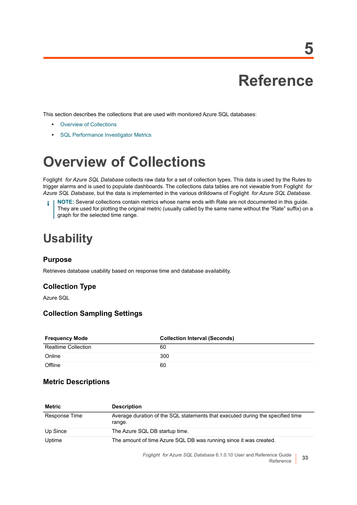**5**

<span id="page-32-0"></span>This section describes the collections that are used with monitored Azure SQL databases:

- **•** [Overview of Collections](#page-32-1)
- **•** [SQL Performance Investigator Metrics](#page-41-0)

# <span id="page-32-1"></span>**Overview of Collections**

Foglight *for Azure SQL Database* collects raw data for a set of collection types. This data is used by the Rules to trigger alarms and is used to populate dashboards. The collections data tables are not viewable from Foglight *for Azure SQL Database*, but the data is implemented in the various drilldowns of Foglight *for Azure SQL Database*.

**NOTE:** Several collections contain metrics whose name ends with Rate are not documented in this guide. i They are used for plotting the original metric (usually called by the same name without the "Rate" suffix) on a graph for the selected time range.

### <span id="page-32-2"></span>**Usability**

#### **Purpose**

Retrieves database usability based on response time and database availability.

#### **Collection Type**

Azure SQL

#### **Collection Sampling Settings**

| <b>Frequency Mode</b>      | <b>Collection Interval (Seconds)</b> |
|----------------------------|--------------------------------------|
| <b>Realtime Collection</b> | 60                                   |
| Online                     | 300                                  |
| Offline                    | 60                                   |

#### **Metric Descriptions**

| <b>Metric</b> | <b>Description</b>                                                                       |
|---------------|------------------------------------------------------------------------------------------|
| Response Time | Average duration of the SQL statements that executed during the specified time<br>range. |
| Up Since      | The Azure SQL DB startup time.                                                           |
| Uptime        | The amount of time Azure SQL DB was running since it was created.                        |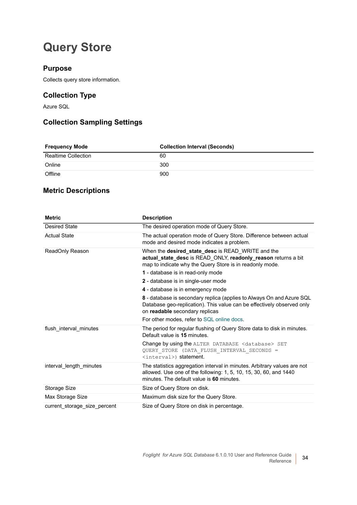### <span id="page-33-0"></span>**Query Store**

#### **Purpose**

Collects query store information.

#### **Collection Type**

Azure SQL

#### **Collection Sampling Settings**

| <b>Frequency Mode</b> | <b>Collection Interval (Seconds)</b> |
|-----------------------|--------------------------------------|
| Realtime Collection   | 60                                   |
| Online                | 300                                  |
| Offline               | 900                                  |

#### **Metric Descriptions**

| <b>Metric</b>                | <b>Description</b>                                                                                                                                                                         |
|------------------------------|--------------------------------------------------------------------------------------------------------------------------------------------------------------------------------------------|
| <b>Desired State</b>         | The desired operation mode of Query Store.                                                                                                                                                 |
| <b>Actual State</b>          | The actual operation mode of Query Store. Difference between actual<br>mode and desired mode indicates a problem.                                                                          |
| ReadOnly Reason              | When the desired_state_desc is READ WRITE and the<br>actual_state_desc is READ_ONLY, readonly_reason returns a bit<br>map to indicate why the Query Store is in readonly mode.             |
|                              | 1 - database is in read-only mode                                                                                                                                                          |
|                              | 2 - database is in single-user mode                                                                                                                                                        |
|                              | 4 - database is in emergency mode                                                                                                                                                          |
|                              | 8 - database is secondary replica (applies to Always On and Azure SQL<br>Database geo-replication). This value can be effectively observed only<br>on readable secondary replicas          |
|                              | For other modes, refer to SQL online docs.                                                                                                                                                 |
| flush interval minutes       | The period for regular flushing of Query Store data to disk in minutes.<br>Default value is 15 minutes.                                                                                    |
|                              | <b>Change by using the ALTER DATABASE <database> SET</database></b><br>QUERY STORE (DATA FLUSH INTERVAL SECONDS =<br><interval>) statement.</interval>                                     |
| interval_length_minutes      | The statistics aggregation interval in minutes. Arbitrary values are not<br>allowed. Use one of the following: 1, 5, 10, 15, 30, 60, and 1440<br>minutes. The default value is 60 minutes. |
| Storage Size                 | Size of Query Store on disk.                                                                                                                                                               |
| Max Storage Size             | Maximum disk size for the Query Store.                                                                                                                                                     |
| current storage size percent | Size of Query Store on disk in percentage.                                                                                                                                                 |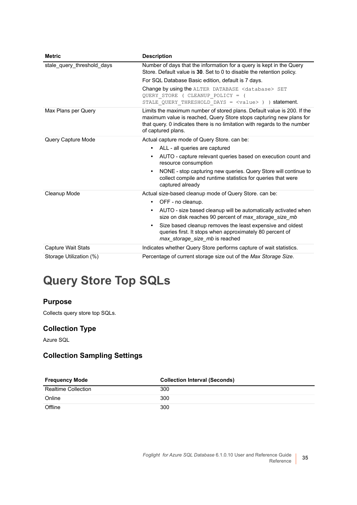| <b>Metric</b>              | <b>Description</b>                                                                                                                                                                                                                                |
|----------------------------|---------------------------------------------------------------------------------------------------------------------------------------------------------------------------------------------------------------------------------------------------|
| stale_query_threshold_days | Number of days that the information for a query is kept in the Query<br>Store. Default value is 30. Set to 0 to disable the retention policy.                                                                                                     |
|                            | For SQL Database Basic edition, default is 7 days.                                                                                                                                                                                                |
|                            | Change by using the ALTER DATABASE <database> SET<br/>QUERY STORE ( CLEANUP POLICY = (<br/>STALE QUERY THRESHOLD DAYS = <value> ) ) statement.</value></database>                                                                                 |
| Max Plans per Query        | Limits the maximum number of stored plans. Default value is 200. If the<br>maximum value is reached, Query Store stops capturing new plans for<br>that query. 0 indicates there is no limitation with regards to the number<br>of captured plans. |
| Query Capture Mode         | Actual capture mode of Query Store. can be:                                                                                                                                                                                                       |
|                            | ALL - all queries are captured<br>$\bullet$                                                                                                                                                                                                       |
|                            | AUTO - capture relevant queries based on execution count and<br>$\bullet$<br>resource consumption                                                                                                                                                 |
|                            | NONE - stop capturing new queries. Query Store will continue to<br>$\bullet$<br>collect compile and runtime statistics for queries that were<br>captured already                                                                                  |
| Cleanup Mode               | Actual size-based cleanup mode of Query Store. can be:                                                                                                                                                                                            |
|                            | • OFF - no cleanup.                                                                                                                                                                                                                               |
|                            | AUTO - size based cleanup will be automatically activated when<br>$\bullet$<br>size on disk reaches 90 percent of max_storage_size_mb                                                                                                             |
|                            | Size based cleanup removes the least expensive and oldest<br>$\bullet$<br>queries first. It stops when approximately 80 percent of<br>max_storage_size_mb is reached                                                                              |
| Capture Wait Stats         | Indicates whether Query Store performs capture of wait statistics.                                                                                                                                                                                |
| Storage Utilization (%)    | Percentage of current storage size out of the Max Storage Size.                                                                                                                                                                                   |

## <span id="page-34-0"></span>**Query Store Top SQLs**

#### **Purpose**

Collects query store top SQLs.

#### **Collection Type**

Azure SQL

#### **Collection Sampling Settings**

| <b>Frequency Mode</b>      | <b>Collection Interval (Seconds)</b> |
|----------------------------|--------------------------------------|
| <b>Realtime Collection</b> | 300                                  |
| Online                     | 300                                  |
| Offline                    | 300                                  |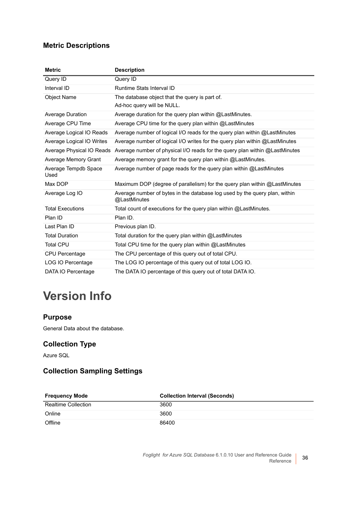#### **Metric Descriptions**

| <b>Metric</b>                | <b>Description</b>                                                                         |
|------------------------------|--------------------------------------------------------------------------------------------|
| Query ID                     | Query ID                                                                                   |
| Interval ID                  | Runtime Stats Interval ID                                                                  |
| <b>Object Name</b>           | The database object that the query is part of.                                             |
|                              | Ad-hoc query will be NULL.                                                                 |
| Average Duration             | Average duration for the query plan within @LastMinutes.                                   |
| Average CPU Time             | Average CPU time for the query plan within @ LastMinutes                                   |
| Average Logical IO Reads     | Average number of logical I/O reads for the query plan within @LastMinutes                 |
| Average Logical IO Writes    | Average number of logical I/O writes for the query plan within @LastMinutes                |
| Average Physical IO Reads    | Average number of physical I/O reads for the query plan within @LastMinutes                |
| Average Memory Grant         | Average memory grant for the query plan within @LastMinutes.                               |
| Average Tempdb Space<br>Used | Average number of page reads for the query plan within @LastMinutes                        |
| Max DOP                      | Maximum DOP (degree of parallelism) for the query plan within @LastMinutes                 |
| Average Log IO               | Average number of bytes in the database log used by the query plan, within<br>@LastMinutes |
| <b>Total Executions</b>      | Total count of executions for the query plan within @LastMinutes.                          |
| Plan ID                      | Plan ID.                                                                                   |
| Last Plan ID                 | Previous plan ID.                                                                          |
| <b>Total Duration</b>        | Total duration for the query plan within @LastMinutes                                      |
| <b>Total CPU</b>             | Total CPU time for the query plan within @LastMinutes                                      |
| <b>CPU Percentage</b>        | The CPU percentage of this query out of total CPU.                                         |
| LOG IO Percentage            | The LOG IO percentage of this query out of total LOG IO.                                   |
| DATA IO Percentage           | The DATA IO percentage of this query out of total DATA IO.                                 |

## <span id="page-35-0"></span>**Version Info**

#### **Purpose**

General Data about the database.

#### **Collection Type**

Azure SQL

#### **Collection Sampling Settings**

| <b>Frequency Mode</b>      | <b>Collection Interval (Seconds)</b> |
|----------------------------|--------------------------------------|
| <b>Realtime Collection</b> | 3600                                 |
| Online                     | 3600                                 |
| Offline                    | 86400                                |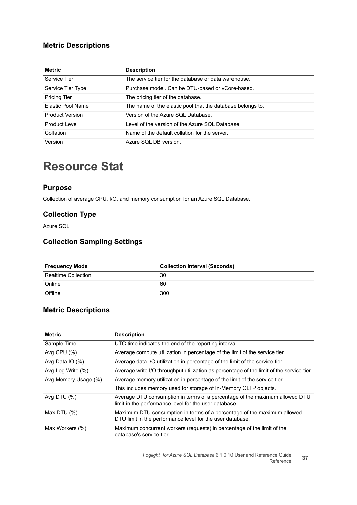#### **Metric Descriptions**

| <b>Metric</b>          | <b>Description</b>                                         |
|------------------------|------------------------------------------------------------|
| Service Tier           | The service tier for the database or data warehouse.       |
| Service Tier Type      | Purchase model. Can be DTU-based or yCore-based.           |
| <b>Pricing Tier</b>    | The pricing tier of the database.                          |
| Elastic Pool Name      | The name of the elastic pool that the database belongs to. |
| <b>Product Version</b> | Version of the Azure SQL Database.                         |
| Product Level          | Level of the version of the Azure SQL Database.            |
| Collation              | Name of the default collation for the server.              |
| Version                | Azure SQL DB version.                                      |

#### <span id="page-36-0"></span>**Resource Stat**

#### **Purpose**

Collection of average CPU, I/O, and memory consumption for an Azure SQL Database.

#### **Collection Type**

Azure SQL

#### **Collection Sampling Settings**

| <b>Frequency Mode</b>      | <b>Collection Interval (Seconds)</b> |
|----------------------------|--------------------------------------|
| <b>Realtime Collection</b> | 30                                   |
| Online                     | 60                                   |
| Offline                    | 300                                  |

#### **Metric Descriptions**

| <b>Metric</b>        | <b>Description</b>                                                                                                                   |
|----------------------|--------------------------------------------------------------------------------------------------------------------------------------|
| Sample Time          | UTC time indicates the end of the reporting interval.                                                                                |
| Avg CPU $(\%)$       | Average compute utilization in percentage of the limit of the service tier.                                                          |
| Avg Data $IO$ (%)    | Average data I/O utilization in percentage of the limit of the service tier.                                                         |
| Avg Log Write (%)    | Average write I/O throughput utilization as percentage of the limit of the service tier.                                             |
| Avg Memory Usage (%) | Average memory utilization in percentage of the limit of the service tier.                                                           |
|                      | This includes memory used for storage of In-Memory OLTP objects.                                                                     |
| Avg DTU $(\%)$       | Average DTU consumption in terms of a percentage of the maximum allowed DTU<br>limit in the performance level for the user database. |
| Max DTU $(\%)$       | Maximum DTU consumption in terms of a percentage of the maximum allowed<br>DTU limit in the performance level for the user database. |
| Max Workers (%)      | Maximum concurrent workers (requests) in percentage of the limit of the<br>database's service tier.                                  |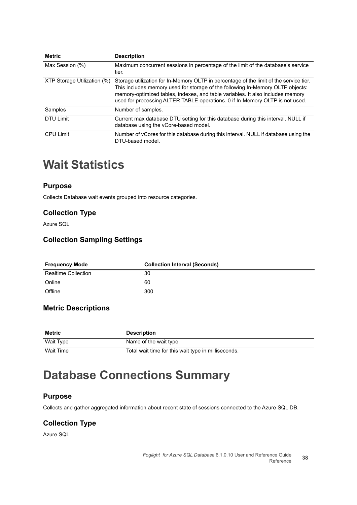| <b>Metric</b>               | <b>Description</b>                                                                                                                                                                                                                                                                                                                         |
|-----------------------------|--------------------------------------------------------------------------------------------------------------------------------------------------------------------------------------------------------------------------------------------------------------------------------------------------------------------------------------------|
| Max Session (%)             | Maximum concurrent sessions in percentage of the limit of the database's service<br>tier.                                                                                                                                                                                                                                                  |
| XTP Storage Utilization (%) | Storage utilization for In-Memory OLTP in percentage of the limit of the service tier.<br>This includes memory used for storage of the following In-Memory OLTP objects:<br>memory-optimized tables, indexes, and table variables. It also includes memory<br>used for processing ALTER TABLE operations. 0 if In-Memory OLTP is not used. |
| Samples                     | Number of samples.                                                                                                                                                                                                                                                                                                                         |
| <b>DTU Limit</b>            | Current max database DTU setting for this database during this interval. NULL if<br>database using the vCore-based model.                                                                                                                                                                                                                  |
| <b>CPU Limit</b>            | Number of vCores for this database during this interval. NULL if database using the<br>DTU-based model.                                                                                                                                                                                                                                    |

#### <span id="page-37-0"></span>**Wait Statistics**

#### **Purpose**

Collects Database wait events grouped into resource categories.

#### **Collection Type**

Azure SQL

#### **Collection Sampling Settings**

| <b>Frequency Mode</b>      | <b>Collection Interval (Seconds)</b> |
|----------------------------|--------------------------------------|
| <b>Realtime Collection</b> | 30                                   |
| Online                     | 60                                   |
| Offline                    | 300                                  |

#### **Metric Descriptions**

| Metric    | <b>Description</b>                                  |
|-----------|-----------------------------------------------------|
| Wait Type | Name of the wait type.                              |
| Wait Time | Total wait time for this wait type in milliseconds. |

#### <span id="page-37-1"></span>**Database Connections Summary**

#### **Purpose**

Collects and gather aggregated information about recent state of sessions connected to the Azure SQL DB.

#### **Collection Type**

Azure SQL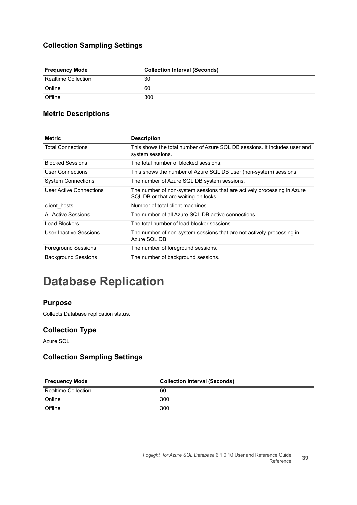#### **Collection Sampling Settings**

| <b>Frequency Mode</b>      | <b>Collection Interval (Seconds)</b> |
|----------------------------|--------------------------------------|
| <b>Realtime Collection</b> | 30                                   |
| Online                     | 60                                   |
| Offline                    | 300                                  |

#### **Metric Descriptions**

| <b>Metric</b>              | <b>Description</b>                                                                                              |
|----------------------------|-----------------------------------------------------------------------------------------------------------------|
| <b>Total Connections</b>   | This shows the total number of Azure SQL DB sessions. It includes user and<br>system sessions.                  |
| <b>Blocked Sessions</b>    | The total number of blocked sessions.                                                                           |
| User Connections           | This shows the number of Azure SQL DB user (non-system) sessions.                                               |
| <b>System Connections</b>  | The number of Azure SQL DB system sessions.                                                                     |
| User Active Connections    | The number of non-system sessions that are actively processing in Azure<br>SQL DB or that are waiting on locks. |
| client hosts               | Number of total client machines.                                                                                |
| All Active Sessions        | The number of all Azure SQL DB active connections.                                                              |
| Lead Blockers              | The total number of lead blocker sessions.                                                                      |
| User Inactive Sessions     | The number of non-system sessions that are not actively processing in<br>Azure SQL DB.                          |
| <b>Foreground Sessions</b> | The number of foreground sessions.                                                                              |
| <b>Background Sessions</b> | The number of background sessions.                                                                              |

### <span id="page-38-0"></span>**Database Replication**

#### **Purpose**

Collects Database replication status.

#### **Collection Type**

Azure SQL

#### **Collection Sampling Settings**

| <b>Frequency Mode</b>      | <b>Collection Interval (Seconds)</b> |
|----------------------------|--------------------------------------|
| <b>Realtime Collection</b> | 60                                   |
| Online                     | 300                                  |
| Offline                    | 300                                  |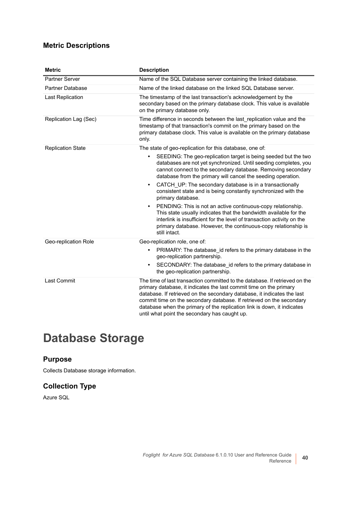#### **Metric Descriptions**

| <b>Metric</b>            | <b>Description</b>                                                                                                                                                                                                                                                                                                                                                                                                               |
|--------------------------|----------------------------------------------------------------------------------------------------------------------------------------------------------------------------------------------------------------------------------------------------------------------------------------------------------------------------------------------------------------------------------------------------------------------------------|
| Partner Server           | Name of the SQL Database server containing the linked database.                                                                                                                                                                                                                                                                                                                                                                  |
| <b>Partner Database</b>  | Name of the linked database on the linked SQL Database server.                                                                                                                                                                                                                                                                                                                                                                   |
| <b>Last Replication</b>  | The timestamp of the last transaction's acknowledgement by the<br>secondary based on the primary database clock. This value is available<br>on the primary database only.                                                                                                                                                                                                                                                        |
| Replication Lag (Sec)    | Time difference in seconds between the last replication value and the<br>timestamp of that transaction's commit on the primary based on the<br>primary database clock. This value is available on the primary database<br>only.                                                                                                                                                                                                  |
| <b>Replication State</b> | The state of geo-replication for this database, one of:                                                                                                                                                                                                                                                                                                                                                                          |
|                          | SEEDING: The geo-replication target is being seeded but the two<br>$\bullet$<br>databases are not yet synchronized. Until seeding completes, you<br>cannot connect to the secondary database. Removing secondary<br>database from the primary will cancel the seeding operation.                                                                                                                                                 |
|                          | CATCH UP: The secondary database is in a transactionally<br>$\bullet$<br>consistent state and is being constantly synchronized with the<br>primary database.                                                                                                                                                                                                                                                                     |
|                          | PENDING: This is not an active continuous-copy relationship.<br>$\bullet$<br>This state usually indicates that the bandwidth available for the<br>interlink is insufficient for the level of transaction activity on the<br>primary database. However, the continuous-copy relationship is<br>still intact.                                                                                                                      |
| Geo-replication Role     | Geo-replication role, one of:                                                                                                                                                                                                                                                                                                                                                                                                    |
|                          | PRIMARY: The database id refers to the primary database in the<br>$\bullet$<br>geo-replication partnership.                                                                                                                                                                                                                                                                                                                      |
|                          | SECONDARY: The database_id refers to the primary database in<br>$\bullet$<br>the geo-replication partnership.                                                                                                                                                                                                                                                                                                                    |
| <b>Last Commit</b>       | The time of last transaction committed to the database. If retrieved on the<br>primary database, it indicates the last commit time on the primary<br>database. If retrieved on the secondary database, it indicates the last<br>commit time on the secondary database. If retrieved on the secondary<br>database when the primary of the replication link is down, it indicates<br>until what point the secondary has caught up. |

### <span id="page-39-0"></span>**Database Storage**

#### **Purpose**

Collects Database storage information.

#### **Collection Type**

Azure SQL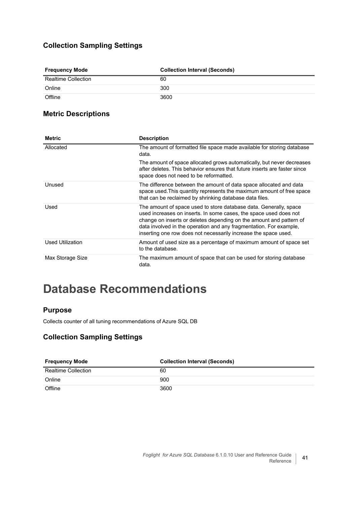#### **Collection Sampling Settings**

| <b>Frequency Mode</b>      | <b>Collection Interval (Seconds)</b> |
|----------------------------|--------------------------------------|
| <b>Realtime Collection</b> | 60                                   |
| Online                     | 300                                  |
| Offline                    | 3600                                 |

#### **Metric Descriptions**

| <b>Metric</b>    | <b>Description</b>                                                                                                                                                                                                                                                                                                                                     |
|------------------|--------------------------------------------------------------------------------------------------------------------------------------------------------------------------------------------------------------------------------------------------------------------------------------------------------------------------------------------------------|
| Allocated        | The amount of formatted file space made available for storing database<br>data.                                                                                                                                                                                                                                                                        |
|                  | The amount of space allocated grows automatically, but never decreases<br>after deletes. This behavior ensures that future inserts are faster since<br>space does not need to be reformatted.                                                                                                                                                          |
| Unused           | The difference between the amount of data space allocated and data<br>space used. This quantity represents the maximum amount of free space<br>that can be reclaimed by shrinking database data files.                                                                                                                                                 |
| Used             | The amount of space used to store database data. Generally, space<br>used increases on inserts. In some cases, the space used does not<br>change on inserts or deletes depending on the amount and pattern of<br>data involved in the operation and any fragmentation. For example,<br>inserting one row does not necessarily increase the space used. |
| Used Utilization | Amount of used size as a percentage of maximum amount of space set<br>to the database.                                                                                                                                                                                                                                                                 |
| Max Storage Size | The maximum amount of space that can be used for storing database<br>data.                                                                                                                                                                                                                                                                             |

#### <span id="page-40-0"></span>**Database Recommendations**

#### **Purpose**

Collects counter of all tuning recommendations of Azure SQL DB

#### **Collection Sampling Settings**

| <b>Frequency Mode</b>      | <b>Collection Interval (Seconds)</b> |
|----------------------------|--------------------------------------|
| <b>Realtime Collection</b> | 60                                   |
| Online                     | 900                                  |
| Offline                    | 3600                                 |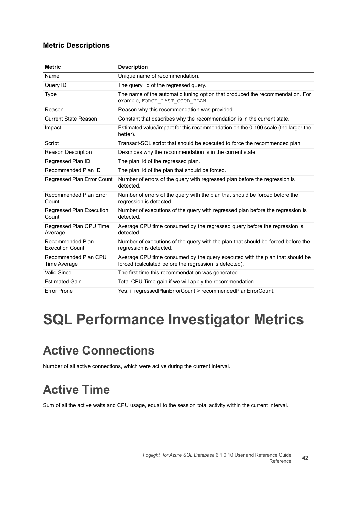#### **Metric Descriptions**

| <b>Metric</b>                              | <b>Description</b>                                                                                                                     |
|--------------------------------------------|----------------------------------------------------------------------------------------------------------------------------------------|
| Name                                       | Unique name of recommendation.                                                                                                         |
| Query ID                                   | The query id of the regressed query.                                                                                                   |
| <b>Type</b>                                | The name of the automatic tuning option that produced the recommendation. For<br>example, FORCE LAST GOOD PLAN                         |
| Reason                                     | Reason why this recommendation was provided.                                                                                           |
| <b>Current State Reason</b>                | Constant that describes why the recommendation is in the current state.                                                                |
| Impact                                     | Estimated value/impact for this recommendation on the 0-100 scale (the larger the<br>better).                                          |
| Script                                     | Transact-SQL script that should be executed to force the recommended plan.                                                             |
| <b>Reason Description</b>                  | Describes why the recommendation is in the current state.                                                                              |
| Regressed Plan ID                          | The plan id of the regressed plan.                                                                                                     |
| Recommended Plan ID                        | The plan id of the plan that should be forced.                                                                                         |
| Regressed Plan Error Count                 | Number of errors of the query with regressed plan before the regression is<br>detected.                                                |
| <b>Recommended Plan Error</b><br>Count     | Number of errors of the query with the plan that should be forced before the<br>regression is detected.                                |
| Regressed Plan Execution<br>Count          | Number of executions of the query with regressed plan before the regression is<br>detected.                                            |
| Regressed Plan CPU Time<br>Average         | Average CPU time consumed by the regressed query before the regression is<br>detected.                                                 |
| Recommended Plan<br><b>Execution Count</b> | Number of executions of the query with the plan that should be forced before the<br>regression is detected.                            |
| Recommended Plan CPU<br>Time Average       | Average CPU time consumed by the query executed with the plan that should be<br>forced (calculated before the regression is detected). |
| <b>Valid Since</b>                         | The first time this recommendation was generated.                                                                                      |
| <b>Estimated Gain</b>                      | Total CPU Time gain if we will apply the recommendation.                                                                               |
| <b>Error Prone</b>                         | Yes, if regressedPlanErrorCount > recommendedPlanErrorCount.                                                                           |

# <span id="page-41-0"></span>**SQL Performance Investigator Metrics**

### <span id="page-41-1"></span>**Active Connections**

Number of all active connections, which were active during the current interval.

# <span id="page-41-2"></span>**Active Time**

Sum of all the active waits and CPU usage, equal to the session total activity within the current interval.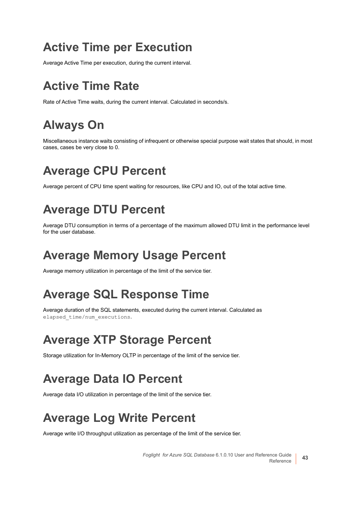### <span id="page-42-0"></span>**Active Time per Execution**

Average Active Time per execution, during the current interval.

### <span id="page-42-1"></span>**Active Time Rate**

Rate of Active Time waits, during the current interval. Calculated in seconds/s.

## <span id="page-42-2"></span>**Always On**

Miscellaneous instance waits consisting of infrequent or otherwise special purpose wait states that should, in most cases, cases be very close to 0.

## <span id="page-42-3"></span>**Average CPU Percent**

Average percent of CPU time spent waiting for resources, like CPU and IO, out of the total active time.

### <span id="page-42-4"></span>**Average DTU Percent**

Average DTU consumption in terms of a percentage of the maximum allowed DTU limit in the performance level for the user database.

### <span id="page-42-5"></span>**Average Memory Usage Percent**

Average memory utilization in percentage of the limit of the service tier.

### <span id="page-42-6"></span>**Average SQL Response Time**

Average duration of the SQL statements, executed during the current interval. Calculated as elapsed\_time/num\_executions.

### <span id="page-42-7"></span>**Average XTP Storage Percent**

Storage utilization for In-Memory OLTP in percentage of the limit of the service tier.

## <span id="page-42-8"></span>**Average Data IO Percent**

Average data I/O utilization in percentage of the limit of the service tier.

## <span id="page-42-9"></span>**Average Log Write Percent**

Average write I/O throughput utilization as percentage of the limit of the service tier.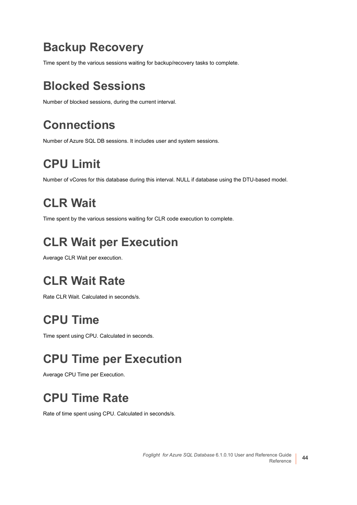### <span id="page-43-0"></span>**Backup Recovery**

Time spent by the various sessions waiting for backup/recovery tasks to complete.

## <span id="page-43-1"></span>**Blocked Sessions**

Number of blocked sessions, during the current interval.

# <span id="page-43-2"></span>**Connections**

Number of Azure SQL DB sessions. It includes user and system sessions.

# <span id="page-43-3"></span>**CPU Limit**

Number of vCores for this database during this interval. NULL if database using the DTU-based model.

# <span id="page-43-4"></span>**CLR Wait**

Time spent by the various sessions waiting for CLR code execution to complete.

## <span id="page-43-5"></span>**CLR Wait per Execution**

Average CLR Wait per execution.

## <span id="page-43-6"></span>**CLR Wait Rate**

Rate CLR Wait. Calculated in seconds/s.

## <span id="page-43-7"></span>**CPU Time**

Time spent using CPU. Calculated in seconds.

## <span id="page-43-8"></span>**CPU Time per Execution**

Average CPU Time per Execution.

# <span id="page-43-9"></span>**CPU Time Rate**

Rate of time spent using CPU. Calculated in seconds/s.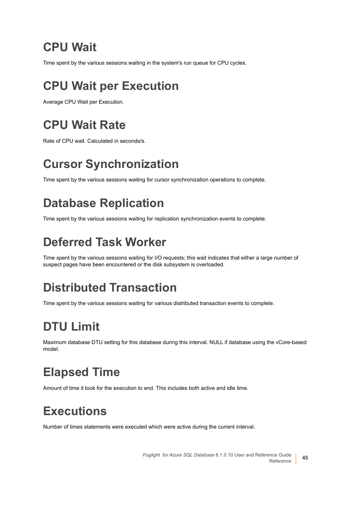## <span id="page-44-0"></span>**CPU Wait**

Time spent by the various sessions waiting in the system's run queue for CPU cycles.

## <span id="page-44-1"></span>**CPU Wait per Execution**

Average CPU Wait per Execution.

## <span id="page-44-2"></span>**CPU Wait Rate**

Rate of CPU wait. Calculated in seconds/s.

# <span id="page-44-3"></span>**Cursor Synchronization**

Time spent by the various sessions waiting for cursor synchronization operations to complete.

## <span id="page-44-4"></span>**Database Replication**

Time spent by the various sessions waiting for replication synchronization events to complete.

## <span id="page-44-5"></span>**Deferred Task Worker**

Time spent by the various sessions waiting for I/O requests; this wait indicates that either a large number of suspect pages have been encountered or the disk subsystem is overloaded.

## <span id="page-44-6"></span>**Distributed Transaction**

Time spent by the various sessions waiting for various distributed transaction events to complete.

# <span id="page-44-7"></span>**DTU Limit**

Maximum database DTU setting for this database during this interval. NULL if database using the vCore-based model.

## <span id="page-44-8"></span>**Elapsed Time**

Amount of time it took for the execution to end. This includes both active and idle time.

## <span id="page-44-9"></span>**Executions**

Number of times statements were executed which were active during the current interval.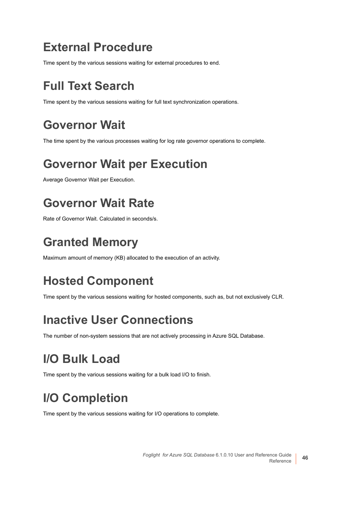#### <span id="page-45-0"></span>**External Procedure**

Time spent by the various sessions waiting for external procedures to end.

## <span id="page-45-1"></span>**Full Text Search**

Time spent by the various sessions waiting for full text synchronization operations.

## <span id="page-45-2"></span>**Governor Wait**

The time spent by the various processes waiting for log rate governor operations to complete.

## <span id="page-45-3"></span>**Governor Wait per Execution**

Average Governor Wait per Execution.

## <span id="page-45-4"></span>**Governor Wait Rate**

Rate of Governor Wait. Calculated in seconds/s.

### <span id="page-45-5"></span>**Granted Memory**

Maximum amount of memory (KB) allocated to the execution of an activity.

# <span id="page-45-6"></span>**Hosted Component**

Time spent by the various sessions waiting for hosted components, such as, but not exclusively CLR.

### <span id="page-45-7"></span>**Inactive User Connections**

The number of non-system sessions that are not actively processing in Azure SQL Database.

## <span id="page-45-8"></span>**I/O Bulk Load**

Time spent by the various sessions waiting for a bulk load I/O to finish.

# <span id="page-45-9"></span>**I/O Completion**

Time spent by the various sessions waiting for I/O operations to complete.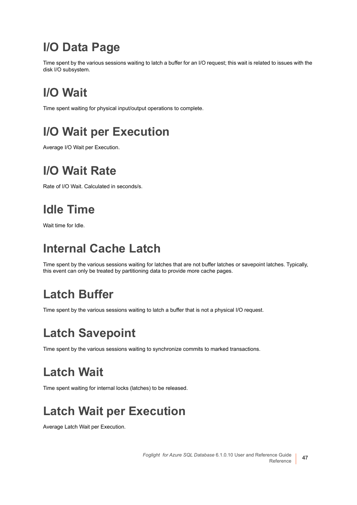### <span id="page-46-0"></span>**I/O Data Page**

Time spent by the various sessions waiting to latch a buffer for an I/O request; this wait is related to issues with the disk I/O subsystem.

# <span id="page-46-1"></span>**I/O Wait**

Time spent waiting for physical input/output operations to complete.

## <span id="page-46-2"></span>**I/O Wait per Execution**

Average I/O Wait per Execution.

### <span id="page-46-3"></span>**I/O Wait Rate**

Rate of I/O Wait. Calculated in seconds/s.

## <span id="page-46-4"></span>**Idle Time**

Wait time for Idle.

### <span id="page-46-5"></span>**Internal Cache Latch**

Time spent by the various sessions waiting for latches that are not buffer latches or savepoint latches. Typically, this event can only be treated by partitioning data to provide more cache pages.

## <span id="page-46-6"></span>**Latch Buffer**

Time spent by the various sessions waiting to latch a buffer that is not a physical I/O request.

## <span id="page-46-7"></span>**Latch Savepoint**

Time spent by the various sessions waiting to synchronize commits to marked transactions.

# <span id="page-46-8"></span>**Latch Wait**

Time spent waiting for internal locks (latches) to be released.

# <span id="page-46-9"></span>**Latch Wait per Execution**

Average Latch Wait per Execution.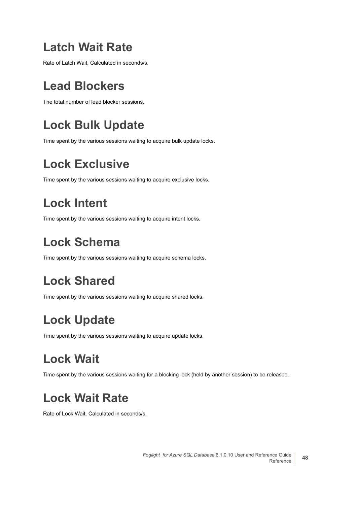### <span id="page-47-0"></span>**Latch Wait Rate**

Rate of Latch Wait, Calculated in seconds/s.

## <span id="page-47-1"></span>**Lead Blockers**

The total number of lead blocker sessions.

# <span id="page-47-2"></span>**Lock Bulk Update**

Time spent by the various sessions waiting to acquire bulk update locks.

## <span id="page-47-3"></span>**Lock Exclusive**

Time spent by the various sessions waiting to acquire exclusive locks.

## <span id="page-47-4"></span>**Lock Intent**

Time spent by the various sessions waiting to acquire intent locks.

## <span id="page-47-5"></span>**Lock Schema**

Time spent by the various sessions waiting to acquire schema locks.

# <span id="page-47-6"></span>**Lock Shared**

Time spent by the various sessions waiting to acquire shared locks.

## <span id="page-47-7"></span>**Lock Update**

Time spent by the various sessions waiting to acquire update locks.

## <span id="page-47-8"></span>**Lock Wait**

Time spent by the various sessions waiting for a blocking lock (held by another session) to be released.

## <span id="page-47-9"></span>**Lock Wait Rate**

Rate of Lock Wait. Calculated in seconds/s.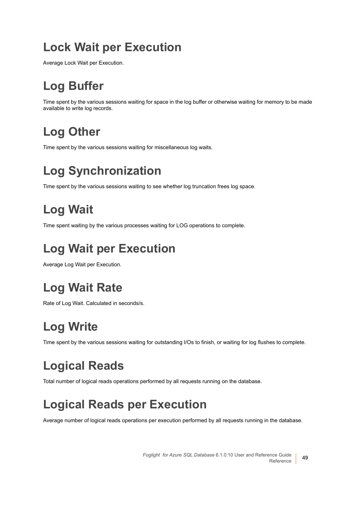### <span id="page-48-0"></span>**Lock Wait per Execution**

Average Lock Wait per Execution.

# <span id="page-48-1"></span>**Log Buffer**

Time spent by the various sessions waiting for space in the log buffer or otherwise waiting for memory to be made available to write log records.

# <span id="page-48-2"></span>**Log Other**

Time spent by the various sessions waiting for miscellaneous log waits.

# <span id="page-48-3"></span>**Log Synchronization**

Time spent by the various sessions waiting to see whether log truncation frees log space.

# <span id="page-48-4"></span>**Log Wait**

Time spent waiting by the various processes waiting for LOG operations to complete.

# <span id="page-48-5"></span>**Log Wait per Execution**

Average Log Wait per Execution.

# <span id="page-48-6"></span>**Log Wait Rate**

Rate of Log Wait. Calculated in seconds/s.

# <span id="page-48-7"></span>**Log Write**

Time spent by the various sessions waiting for outstanding I/Os to finish, or waiting for log flushes to complete.

# <span id="page-48-8"></span>**Logical Reads**

Total number of logical reads operations performed by all requests running on the database.

## <span id="page-48-9"></span>**Logical Reads per Execution**

Average number of logical reads operations per execution performed by all requests running in the database.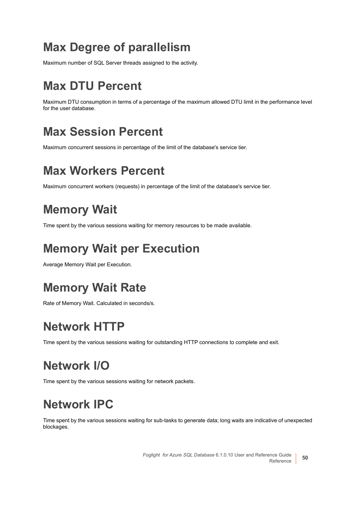### <span id="page-49-0"></span>**Max Degree of parallelism**

Maximum number of SQL Server threads assigned to the activity.

## <span id="page-49-1"></span>**Max DTU Percent**

Maximum DTU consumption in terms of a percentage of the maximum allowed DTU limit in the performance level for the user database.

## <span id="page-49-2"></span>**Max Session Percent**

Maximum concurrent sessions in percentage of the limit of the database's service tier.

## <span id="page-49-3"></span>**Max Workers Percent**

Maximum concurrent workers (requests) in percentage of the limit of the database's service tier.

## <span id="page-49-4"></span>**Memory Wait**

Time spent by the various sessions waiting for memory resources to be made available.

## <span id="page-49-5"></span>**Memory Wait per Execution**

Average Memory Wait per Execution.

## <span id="page-49-6"></span>**Memory Wait Rate**

Rate of Memory Wait. Calculated in seconds/s.

### <span id="page-49-7"></span>**Network HTTP**

Time spent by the various sessions waiting for outstanding HTTP connections to complete and exit.

## <span id="page-49-8"></span>**Network I/O**

Time spent by the various sessions waiting for network packets.

## <span id="page-49-9"></span>**Network IPC**

Time spent by the various sessions waiting for sub-tasks to generate data; long waits are indicative of unexpected blockages.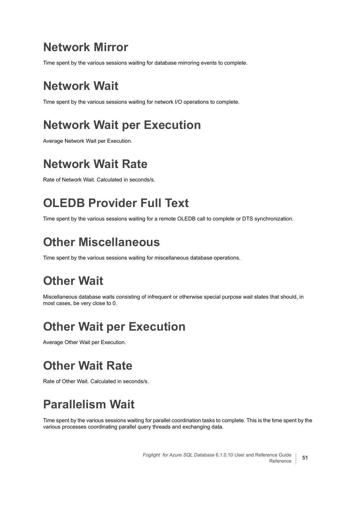### <span id="page-50-0"></span>**Network Mirror**

Time spent by the various sessions waiting for database mirroring events to complete.

## <span id="page-50-1"></span>**Network Wait**

Time spent by the various sessions waiting for network I/O operations to complete.

## <span id="page-50-2"></span>**Network Wait per Execution**

Average Network Wait per Execution.

## <span id="page-50-3"></span>**Network Wait Rate**

Rate of Network Wait. Calculated in seconds/s.

## <span id="page-50-4"></span>**OLEDB Provider Full Text**

Time spent by the various sessions waiting for a remote OLEDB call to complete or DTS synchronization.

### <span id="page-50-5"></span>**Other Miscellaneous**

Time spent by the various sessions waiting for miscellaneous database operations.

## <span id="page-50-6"></span>**Other Wait**

Miscellaneous database waits consisting of infrequent or otherwise special purpose wait states that should, in most cases, be very close to 0.

## <span id="page-50-7"></span>**Other Wait per Execution**

Average Other Wait per Execution.

## <span id="page-50-8"></span>**Other Wait Rate**

Rate of Other Wait. Calculated in seconds/s.

## <span id="page-50-9"></span>**Parallelism Wait**

Time spent by the various sessions waiting for parallel coordination tasks to complete. This is the time spent by the various processes coordinating parallel query threads and exchanging data.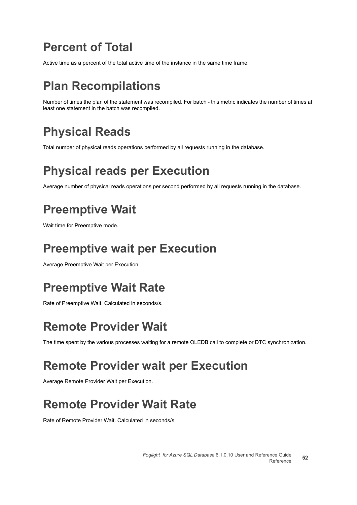### <span id="page-51-0"></span>**Percent of Total**

Active time as a percent of the total active time of the instance in the same time frame.

## <span id="page-51-1"></span>**Plan Recompilations**

Number of times the plan of the statement was recompiled. For batch - this metric indicates the number of times at least one statement in the batch was recompiled.

## <span id="page-51-2"></span>**Physical Reads**

Total number of physical reads operations performed by all requests running in the database.

## <span id="page-51-3"></span>**Physical reads per Execution**

Average number of physical reads operations per second performed by all requests running in the database.

## <span id="page-51-4"></span>**Preemptive Wait**

Wait time for Preemptive mode.

### <span id="page-51-5"></span>**Preemptive wait per Execution**

Average Preemptive Wait per Execution.

## <span id="page-51-6"></span>**Preemptive Wait Rate**

Rate of Preemptive Wait. Calculated in seconds/s.

## <span id="page-51-7"></span>**Remote Provider Wait**

The time spent by the various processes waiting for a remote OLEDB call to complete or DTC synchronization.

## <span id="page-51-8"></span>**Remote Provider wait per Execution**

Average Remote Provider Wait per Execution.

## <span id="page-51-9"></span>**Remote Provider Wait Rate**

Rate of Remote Provider Wait. Calculated in seconds/s.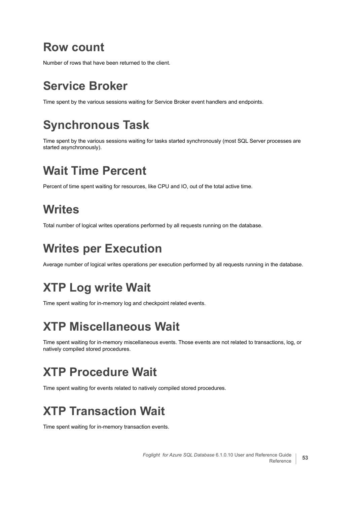#### <span id="page-52-0"></span>**Row count**

Number of rows that have been returned to the client.

## <span id="page-52-1"></span>**Service Broker**

Time spent by the various sessions waiting for Service Broker event handlers and endpoints.

## <span id="page-52-2"></span>**Synchronous Task**

Time spent by the various sessions waiting for tasks started synchronously (most SQL Server processes are started asynchronously).

## <span id="page-52-3"></span>**Wait Time Percent**

Percent of time spent waiting for resources, like CPU and IO, out of the total active time.

## <span id="page-52-4"></span>**Writes**

Total number of logical writes operations performed by all requests running on the database.

## <span id="page-52-5"></span>**Writes per Execution**

Average number of logical writes operations per execution performed by all requests running in the database.

## <span id="page-52-6"></span>**XTP Log write Wait**

Time spent waiting for in-memory log and checkpoint related events.

## <span id="page-52-7"></span>**XTP Miscellaneous Wait**

Time spent waiting for in-memory miscellaneous events. Those events are not related to transactions, log, or natively compiled stored procedures.

## <span id="page-52-8"></span>**XTP Procedure Wait**

Time spent waiting for events related to natively compiled stored procedures.

## <span id="page-52-9"></span>**XTP Transaction Wait**

Time spent waiting for in-memory transaction events.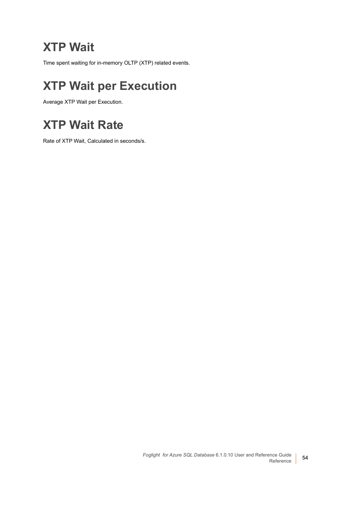### <span id="page-53-0"></span>**XTP Wait**

Time spent waiting for in-memory OLTP (XTP) related events.

## <span id="page-53-1"></span>**XTP Wait per Execution**

Average XTP Wait per Execution.

### <span id="page-53-2"></span>**XTP Wait Rate**

Rate of XTP Wait, Calculated in seconds/s.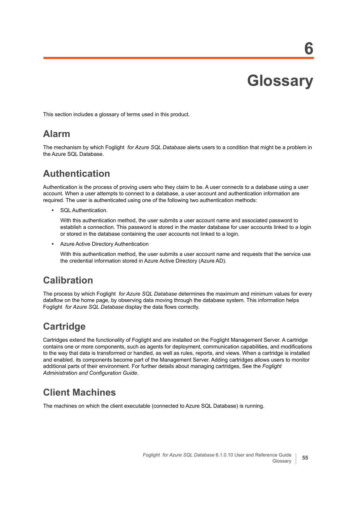**Glossary**

**6**

<span id="page-54-0"></span>This section includes a glossary of terms used in this product.

#### **Alarm**

The mechanism by which Foglight *for Azure SQL Database* alerts users to a condition that might be a problem in the Azure SQL Database.

#### **Authentication**

Authentication is the process of proving users who they claim to be. A user connects to a database using a user account. When a user attempts to connect to a database, a user account and authentication information are required. The user is authenticated using one of the following two authentication methods:

**•** SQL Authentication.

With this authentication method, the user submits a user account name and associated password to establish a connection. This password is stored in the master database for user accounts linked to a login or stored in the database containing the user accounts not linked to a login.

**•** Azure Active Directory Authentication

With this authentication method, the user submits a user account name and requests that the service use the credential information stored in Azure Active Directory (Azure AD).

#### **Calibration**

The process by which Foglight *for Azure SQL Database* determines the maximum and minimum values for every dataflow on the home page, by observing data moving through the database system. This information helps Foglight *for Azure SQL Database* display the data flows correctly.

#### **Cartridge**

Cartridges extend the functionality of Foglight and are installed on the Foglight Management Server. A cartridge contains one or more components, such as agents for deployment, communication capabilities, and modifications to the way that data is transformed or handled, as well as rules, reports, and views. When a cartridge is installed and enabled, its components become part of the Management Server. Adding cartridges allows users to monitor additional parts of their environment. For further details about managing cartridges, See the *Foglight Administration and Configuration Guide*.

#### **Client Machines**

The machines on which the client executable (connected to Azure SQL Database) is running.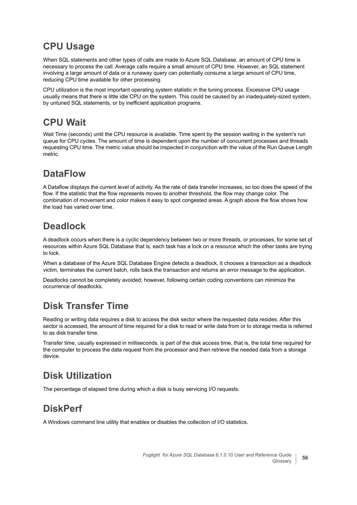#### **CPU Usage**

When SQL statements and other types of calls are made to Azure SQL Database, an amount of CPU time is necessary to process the call. Average calls require a small amount of CPU time. However, an SQL statement involving a large amount of data or a runaway query can potentially consume a large amount of CPU time, reducing CPU time available for other processing.

CPU utilization is the most important operating system statistic in the tuning process. Excessive CPU usage usually means that there is little idle CPU on the system. This could be caused by an inadequately-sized system, by untuned SQL statements, or by inefficient application programs.

#### **CPU Wait**

Wait Time (seconds) until the CPU resource is available. Time spent by the session waiting in the system's run queue for CPU cycles. The amount of time is dependent upon the number of concurrent processes and threads requesting CPU time. The metric value should be inspected in conjunction with the value of the Run Queue Length metric.

#### **DataFlow**

A Dataflow displays the current level of activity. As the rate of data transfer increases, so too does the speed of the flow. If the statistic that the flow represents moves to another threshold, the flow may change color. The combination of movement and color makes it easy to spot congested areas. A graph above the flow shows how the load has varied over time.

#### **Deadlock**

A deadlock occurs when there is a cyclic dependency between two or more threads, or processes, for some set of resources within Azure SQL Database that is, each task has a lock on a resource which the other tasks are trying to lock.

When a database of the Azure SQL Database Engine detects a deadlock, it chooses a transaction as a deadlock victim, terminates the current batch, rolls back the transaction and returns an error message to the application.

Deadlocks cannot be completely avoided; however, following certain coding conventions can minimize the occurrence of deadlocks.

#### **Disk Transfer Time**

Reading or writing data requires a disk to access the disk sector where the requested data resides. After this sector is accessed, the amount of time required for a disk to read or write data from or to storage media is referred to as disk transfer time.

Transfer time, usually expressed in milliseconds, is part of the disk access time, that is, the total time required for the computer to process the data request from the processor and then retrieve the needed data from a storage device.

#### **Disk Utilization**

The percentage of elapsed time during which a disk is busy servicing I/O requests.

#### **DiskPerf**

A Windows command line utility that enables or disables the collection of I/O statistics.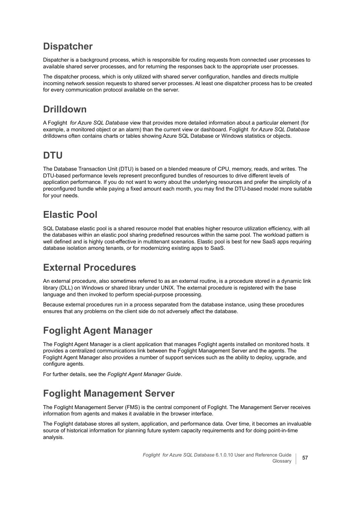#### **Dispatcher**

Dispatcher is a background process, which is responsible for routing requests from connected user processes to available shared server processes, and for returning the responses back to the appropriate user processes.

The dispatcher process, which is only utilized with shared server configuration, handles and directs multiple incoming network session requests to shared server processes. At least one dispatcher process has to be created for every communication protocol available on the server.

#### **Drilldown**

A Foglight *for Azure SQL Database* view that provides more detailed information about a particular element (for example, a monitored object or an alarm) than the current view or dashboard. Foglight *for Azure SQL Database* drilldowns often contains charts or tables showing Azure SQL Database or Windows statistics or objects.

#### **DTU**

The Database Transaction Unit (DTU) is based on a blended measure of CPU, memory, reads, and writes. The DTU-based performance levels represent preconfigured bundles of resources to drive different levels of application performance. If you do not want to worry about the underlying resources and prefer the simplicity of a preconfigured bundle while paying a fixed amount each month, you may find the DTU-based model more suitable for your needs.

#### **Elastic Pool**

SQL Database elastic pool is a shared resource model that enables higher resource utilization efficiency, with all the databases within an elastic pool sharing predefined resources within the same pool. The workload pattern is well defined and is highly cost-effective in multitenant scenarios. Elastic pool is best for new SaaS apps requiring database isolation among tenants, or for modernizing existing apps to SaaS.

#### **External Procedures**

An external procedure, also sometimes referred to as an external routine, is a procedure stored in a dynamic link library (DLL) on Windows or shared library under UNIX. The external procedure is registered with the base language and then invoked to perform special-purpose processing.

Because external procedures run in a process separated from the database instance, using these procedures ensures that any problems on the client side do not adversely affect the database.

#### **Foglight Agent Manager**

The Foglight Agent Manager is a client application that manages Foglight agents installed on monitored hosts. It provides a centralized communications link between the Foglight Management Server and the agents. The Foglight Agent Manager also provides a number of support services such as the ability to deploy, upgrade, and configure agents.

For further details, see the *Foglight Agent Manager Guide*.

#### **Foglight Management Server**

The Foglight Management Server (FMS) is the central component of Foglight. The Management Server receives information from agents and makes it available in the browser interface.

The Foglight database stores all system, application, and performance data. Over time, it becomes an invaluable source of historical information for planning future system capacity requirements and for doing point-in-time analysis.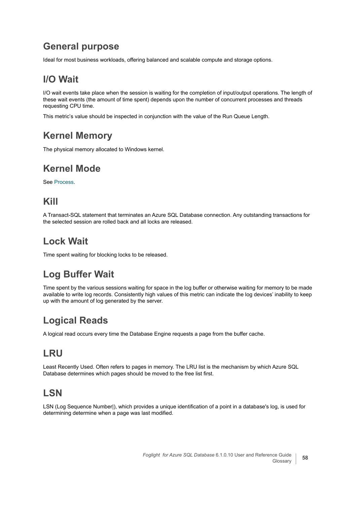#### **General purpose**

Ideal for most business workloads, offering balanced and scalable compute and storage options.

#### **I/O Wait**

I/O wait events take place when the session is waiting for the completion of input/output operations. The length of these wait events (the amount of time spent) depends upon the number of concurrent processes and threads requesting CPU time.

This metric's value should be inspected in conjunction with the value of the Run Queue Length.

#### **Kernel Memory**

The physical memory allocated to Windows kernel.

#### **Kernel Mode**

See [Process.](#page-59-0)

#### **Kill**

A Transact-SQL statement that terminates an Azure SQL Database connection. Any outstanding transactions for the selected session are rolled back and all locks are released.

#### **Lock Wait**

Time spent waiting for blocking locks to be released.

#### **Log Buffer Wait**

Time spent by the various sessions waiting for space in the log buffer or otherwise waiting for memory to be made available to write log records. Consistently high values of this metric can indicate the log devices' inability to keep up with the amount of log generated by the server.

#### **Logical Reads**

A logical read occurs every time the Database Engine requests a page from the buffer cache.

#### **LRU**

Least Recently Used. Often refers to pages in memory. The LRU list is the mechanism by which Azure SQL Database determines which pages should be moved to the free list first.

#### **LSN**

LSN (Log Sequence Number|), which provides a unique identification of a point in a database's log, is used for determining determine when a page was last modified.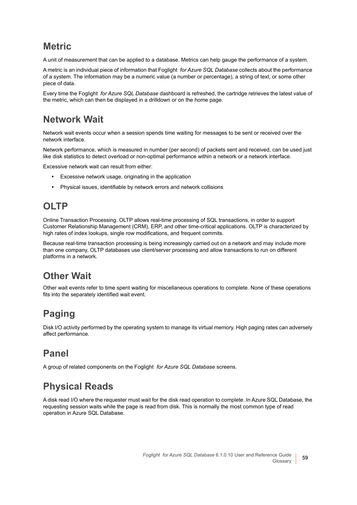#### **Metric**

A unit of measurement that can be applied to a database. Metrics can help gauge the performance of a system.

A metric is an individual piece of information that Foglight *for Azure SQL Database* collects about the performance of a system. The information may be a numeric value (a number or percentage), a string of text, or some other piece of data.

Every time the Foglight *for Azure SQL Database* dashboard is refreshed, the cartridge retrieves the latest value of the metric, which can then be displayed in a drilldown or on the home page.

#### **Network Wait**

Network wait events occur when a session spends time waiting for messages to be sent or received over the network interface.

Network performance, which is measured in number (per second) of packets sent and received, can be used just like disk statistics to detect overload or non-optimal performance within a network or a network interface.

Excessive network wait can result from either:

- **•** Excessive network usage, originating in the application
- **•** Physical issues, identifiable by network errors and network collisions

#### **OLTP**

Online Transaction Processing. OLTP allows real-time processing of SQL transactions, in order to support Customer Relationship Management (CRM), ERP, and other time-critical applications. OLTP is characterized by high rates of index lookups, single row modifications, and frequent commits.

Because real-time transaction processing is being increasingly carried out on a network and may include more than one company, OLTP databases use client/server processing and allow transactions to run on different platforms in a network.

#### **Other Wait**

Other wait events refer to time spent waiting for miscellaneous operations to complete. None of these operations fits into the separately identified wait event.

#### **Paging**

Disk I/O activity performed by the operating system to manage its virtual memory. High paging rates can adversely affect performance.

#### **Panel**

A group of related components on the Foglight *for Azure SQL Database* screens.

#### **Physical Reads**

A disk read I/O where the requester must wait for the disk read operation to complete. In Azure SQL Database, the requesting session waits while the page is read from disk. This is normally the most common type of read operation in Azure SQL Database.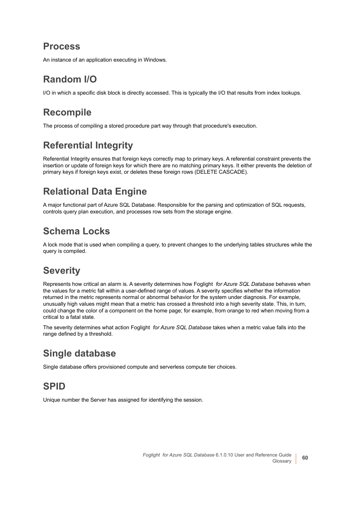#### <span id="page-59-0"></span>**Process**

An instance of an application executing in Windows.

#### **Random I/O**

I/O in which a specific disk block is directly accessed. This is typically the I/O that results from index lookups.

#### **Recompile**

The process of compiling a stored procedure part way through that procedure's execution.

#### **Referential Integrity**

Referential Integrity ensures that foreign keys correctly map to primary keys. A referential constraint prevents the insertion or update of foreign keys for which there are no matching primary keys. It either prevents the deletion of primary keys if foreign keys exist, or deletes these foreign rows (DELETE CASCADE).

#### **Relational Data Engine**

A major functional part of Azure SQL Database. Responsible for the parsing and optimization of SQL requests, controls query plan execution, and processes row sets from the storage engine.

#### **Schema Locks**

A lock mode that is used when compiling a query, to prevent changes to the underlying tables structures while the query is compiled.

#### **Severity**

Represents how critical an alarm is. A severity determines how Foglight *for Azure SQL Database* behaves when the values for a metric fall within a user-defined range of values. A severity specifies whether the information returned in the metric represents normal or abnormal behavior for the system under diagnosis. For example, unusually high values might mean that a metric has crossed a threshold into a high severity state. This, in turn, could change the color of a component on the home page; for example, from orange to red when moving from a critical to a fatal state.

The severity determines what action Foglight *for Azure SQL Database* takes when a metric value falls into the range defined by a threshold.

#### **Single database**

Single database offers provisioned compute and serverless compute tier choices.

#### **SPID**

Unique number the Server has assigned for identifying the session.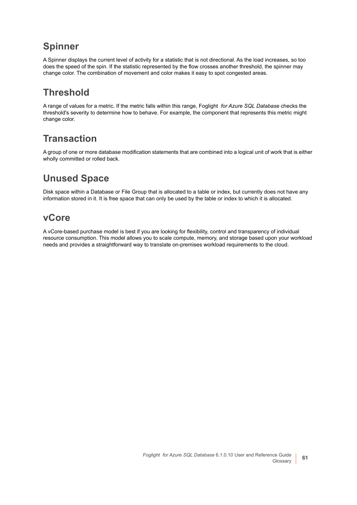#### **Spinner**

A Spinner displays the current level of activity for a statistic that is not directional. As the load increases, so too does the speed of the spin. If the statistic represented by the flow crosses another threshold, the spinner may change color. The combination of movement and color makes it easy to spot congested areas.

#### **Threshold**

A range of values for a metric. If the metric falls within this range, Foglight *for Azure SQL Database* checks the threshold's severity to determine how to behave. For example, the component that represents this metric might change color.

#### **Transaction**

A group of one or more database modification statements that are combined into a logical unit of work that is either wholly committed or rolled back.

#### **Unused Space**

Disk space within a Database or File Group that is allocated to a table or index, but currently does not have any information stored in it. It is free space that can only be used by the table or index to which it is allocated.

#### **vCore**

A vCore-based purchase model is best if you are looking for flexibility, control and transparency of individual resource consumption. This model allows you to scale compute, memory, and storage based upon your workload needs and provides a straightforward way to translate on-premises workload requirements to the cloud.